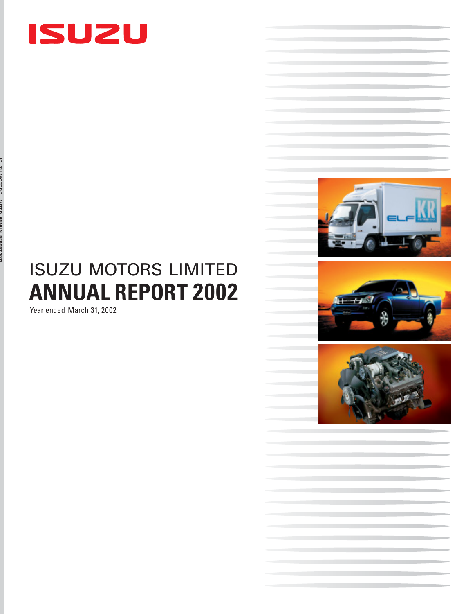

# **ANNUAL REPORT 2002** ISUZU MOTORS LIMITED

Year ended March 31, 2002

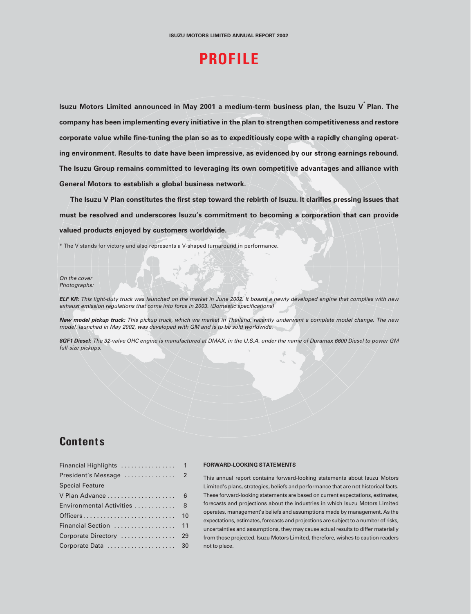## **PROFILE**

**Isuzu Motors Limited announced in May 2001 a medium-term business plan, the Isuzu V\* Plan. The company has been implementing every initiative in the plan to strengthen competitiveness and restore corporate value while fine-tuning the plan so as to expeditiously cope with a rapidly changing operating environment. Results to date have been impressive, as evidenced by our strong earnings rebound. The Isuzu Group remains committed to leveraging its own competitive advantages and alliance with General Motors to establish a global business network.**

**The Isuzu V Plan constitutes the first step toward the rebirth of Isuzu. It clarifies pressing issues that must be resolved and underscores Isuzu's commitment to becoming a corporation that can provide valued products enjoyed by customers worldwide.**

\* The V stands for victory and also represents a V-shaped turnaround in performance.

On the cover Photographs:

**ELF KR:** This light-duty truck was launched on the market in June 2002. It boasts a newly developed engine that complies with new exhaust emission regulations that come into force in 2003. (Domestic specifications)

**New model pickup truck:** This pickup truck, which we market in Thailand, recently underwent a complete model change. The new model, launched in May 2002, was developed with GM and is to be sold worldwide.

**8GF1 Diesel:** The 32-valve OHC engine is manufactured at DMAX, in the U.S.A. under the name of Duramax 6600 Diesel to power GM full-size pickups.

### **Contents**

| <b>Special Feature</b>      |    |
|-----------------------------|----|
|                             |    |
| Environmental Activities  8 |    |
|                             | 10 |
| Financial Section  11       |    |
| Corporate Directory  29     |    |
| Corporate Data  30          |    |

#### **FORWARD-LOOKING STATEMENTS**

This annual report contains forward-looking statements about Isuzu Motors Limited's plans, strategies, beliefs and performance that are not historical facts. These forward-looking statements are based on current expectations, estimates, forecasts and projections about the industries in which Isuzu Motors Limited operates, management's beliefs and assumptions made by management. As the expectations, estimates, forecasts and projections are subject to a number of risks, uncertainties and assumptions, they may cause actual results to differ materially from those projected. Isuzu Motors Limited, therefore, wishes to caution readers not to place.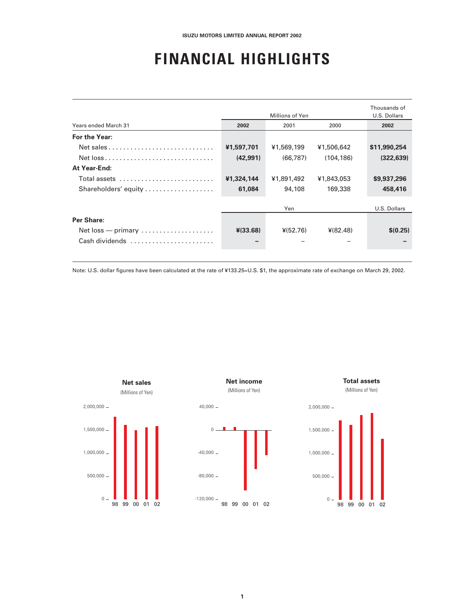## **F INANCIAL HIGHLIGHTS**

| Years ended March 31                                      | 2002       | Millions of Yen<br>2001 | 2000       | Thousands of<br>U.S. Dollars<br>2002 |
|-----------------------------------------------------------|------------|-------------------------|------------|--------------------------------------|
|                                                           |            |                         |            |                                      |
| For the Year:                                             |            |                         |            |                                      |
|                                                           | ¥1,597,701 | ¥1,569,199              | ¥1,506,642 | \$11,990,254                         |
|                                                           | (42, 991)  | (66.787)                | (104.186)  | (322, 639)                           |
| At Year-End:                                              |            |                         |            |                                      |
| Total assets                                              | ¥1,324,144 | ¥1,891,492              | ¥1,843,053 | \$9,937,296                          |
| Shareholders' equity                                      | 61.084     | 94,108                  | 169,338    | 458,416                              |
|                                                           |            |                         |            |                                      |
|                                                           |            | Yen                     |            | U.S. Dollars                         |
| Per Share:                                                |            |                         |            |                                      |
| $Net loss$ - primary $\ldots \ldots \ldots \ldots \ldots$ | $*(33.68)$ | $*(52.76)$              | ¥(82.48)   | \$(0.25)                             |
| Cash dividends                                            |            |                         |            |                                      |

Note: U.S. dollar figures have been calculated at the rate of ¥133.25=U.S. \$1, the approximate rate of exchange on March 29, 2002.

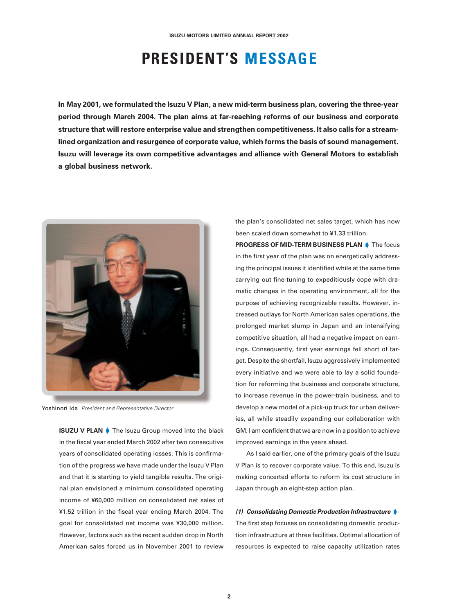## **PRESIDENT'S MESSAGE**

**In May 2001, we formulated the Isuzu V Plan, a new mid-term business plan, covering the three-year period through March 2004. The plan aims at far-reaching reforms of our business and corporate structure that will restore enterprise value and strengthen competitiveness. It also calls for a streamlined organization and resurgence of corporate value, which forms the basis of sound management. Isuzu will leverage its own competitive advantages and alliance with General Motors to establish a global business network.**



Yoshinori Ida President and Representative Director

**ISUZU V PLAN F** The Isuzu Group moved into the black in the fiscal year ended March 2002 after two consecutive years of consolidated operating losses. This is confirmation of the progress we have made under the Isuzu V Plan and that it is starting to yield tangible results. The original plan envisioned a minimum consolidated operating income of ¥60,000 million on consolidated net sales of ¥1.52 trillion in the fiscal year ending March 2004. The goal for consolidated net income was ¥30,000 million. However, factors such as the recent sudden drop in North American sales forced us in November 2001 to review

the plan's consolidated net sales target, which has now been scaled down somewhat to ¥1.33 trillion.

**PROGRESS OF MID-TERM BUSINESS PLAN** The focus in the first year of the plan was on energetically addressing the principal issues it identified while at the same time carrying out fine-tuning to expeditiously cope with dramatic changes in the operating environment, all for the purpose of achieving recognizable results. However, increased outlays for North American sales operations, the prolonged market slump in Japan and an intensifying competitive situation, all had a negative impact on earnings. Consequently, first year earnings fell short of target. Despite the shortfall, Isuzu aggressively implemented every initiative and we were able to lay a solid foundation for reforming the business and corporate structure, to increase revenue in the power-train business, and to develop a new model of a pick-up truck for urban deliveries, all while steadily expanding our collaboration with GM. I am confident that we are now in a position to achieve improved earnings in the years ahead.

As I said earlier, one of the primary goals of the Isuzu V Plan is to recover corporate value. To this end, Isuzu is making concerted efforts to reform its cost structure in Japan through an eight-step action plan.

#### **(1) Consolidating Domestic Production Infrastructure**

The first step focuses on consolidating domestic production infrastructure at three facilities. Optimal allocation of resources is expected to raise capacity utilization rates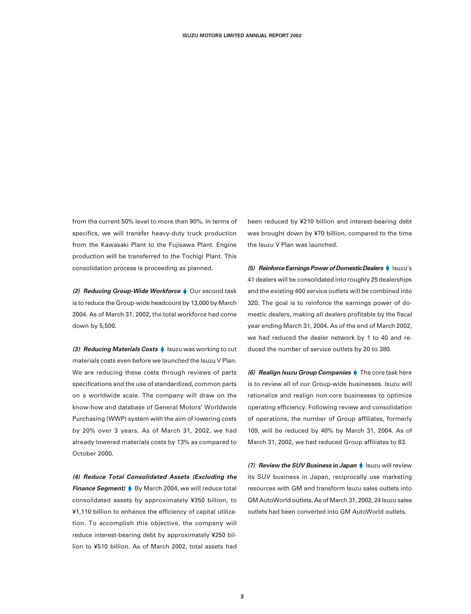from the current 50% level to more than 90%. In terms of specifics, we will transfer heavy-duty truck production from the Kawasaki Plant to the Fujisawa Plant. Engine production will be transferred to the Tochigi Plant. This consolidation process is proceeding as planned.

**(2) Reducing Group-Wide Workforce** Our second task is to reduce the Group-wide headcount by 13,000 by March 2004. As of March 31, 2002, the total workforce had come down by 5,500.

**(3) Reducing Materials Costs I** Isuzu was working to cut materials costs even before we launched the Isuzu V Plan. We are reducing these costs through reviews of parts specifications and the use of standardized, common parts on a worldwide scale. The company will draw on the know-how and database of General Motors' Worldwide Purchasing (WWP) system with the aim of lowering costs by 20% over 3 years. As of March 31, 2002, we had already lowered materials costs by 13% as compared to October 2000.

**(4) Reduce Total Consolidated Assets (Excluding the Finance Segment)** By March 2004, we will reduce total consolidated assets by approximately ¥350 billion, to ¥1,110 billion to enhance the efficiency of capital utilization. To accomplish this objective, the company will reduce interest-bearing debt by approximately ¥250 billion to ¥510 billion. As of March 2002, total assets had

been reduced by ¥210 billion and interest-bearing debt was brought down by ¥70 billion, compared to the time the Isuzu V Plan was launched.

**(5) Reinforce Earnings Power of Domestic Dealers** Isuzu's 41 dealers will be consolidated into roughly 25 dealerships and the existing 400 service outlets will be combined into 320. The goal is to reinforce the earnings power of domestic dealers, making all dealers profitable by the fiscal year ending March 31, 2004. As of the end of March 2002, we had reduced the dealer network by 1 to 40 and reduced the number of service outlets by 20 to 380.

**(6) Realign Isuzu Group Companies** The core task here is to review all of our Group-wide businesses. Isuzu will rationalize and realign non-core businesses to optimize operating efficiency. Following review and consolidation of operations, the number of Group affiliates, formerly 109, will be reduced by 40% by March 31, 2004. As of March 31, 2002, we had reduced Group affiliates to 83.

**(7) Review the SUV Business in Japan I** Isuzu will review its SUV business in Japan, reciprocally use marketing resources with GM and transform Isuzu sales outlets into GM AutoWorld outlets. As of March 31, 2002, 24 Isuzu sales outlets had been converted into GM AutoWorld outlets.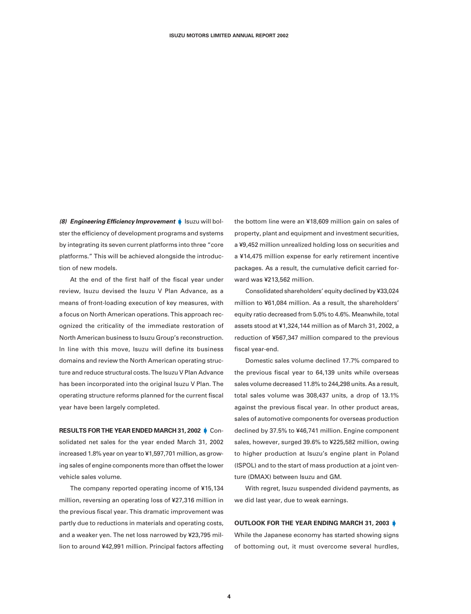**(8) Engineering Efficiency Improvement Isuzu will bol**ster the efficiency of development programs and systems by integrating its seven current platforms into three "core platforms." This will be achieved alongside the introduction of new models.

At the end of the first half of the fiscal year under review, Isuzu devised the Isuzu V Plan Advance, as a means of front-loading execution of key measures, with a focus on North American operations. This approach recognized the criticality of the immediate restoration of North American business to Isuzu Group's reconstruction. In line with this move, Isuzu will define its business domains and review the North American operating structure and reduce structural costs. The Isuzu V Plan Advance has been incorporated into the original Isuzu V Plan. The operating structure reforms planned for the current fiscal year have been largely completed.

**RESULTS FOR THE YEAR ENDED MARCH 31, 2002 CON**solidated net sales for the year ended March 31, 2002 increased 1.8% year on year to ¥1,597,701 million, as growing sales of engine components more than offset the lower vehicle sales volume.

The company reported operating income of ¥15,134 million, reversing an operating loss of ¥27,316 million in the previous fiscal year. This dramatic improvement was partly due to reductions in materials and operating costs, and a weaker yen. The net loss narrowed by ¥23,795 million to around ¥42,991 million. Principal factors affecting the bottom line were an ¥18,609 million gain on sales of property, plant and equipment and investment securities, a ¥9,452 million unrealized holding loss on securities and a ¥14,475 million expense for early retirement incentive packages. As a result, the cumulative deficit carried forward was ¥213,562 million.

Consolidated shareholders' equity declined by ¥33,024 million to ¥61,084 million. As a result, the shareholders' equity ratio decreased from 5.0% to 4.6%. Meanwhile, total assets stood at ¥1,324,144 million as of March 31, 2002, a reduction of ¥567,347 million compared to the previous fiscal year-end.

Domestic sales volume declined 17.7% compared to the previous fiscal year to 64,139 units while overseas sales volume decreased 11.8% to 244,298 units. As a result, total sales volume was 308,437 units, a drop of 13.1% against the previous fiscal year. In other product areas, sales of automotive components for overseas production declined by 37.5% to ¥46,741 million. Engine component sales, however, surged 39.6% to ¥225,582 million, owing to higher production at Isuzu's engine plant in Poland (ISPOL) and to the start of mass production at a joint venture (DMAX) between Isuzu and GM.

With regret, Isuzu suspended dividend payments, as we did last year, due to weak earnings.

#### **OUTLOOK FOR THE YEAR ENDING MARCH 31, 2003**

While the Japanese economy has started showing signs of bottoming out, it must overcome several hurdles,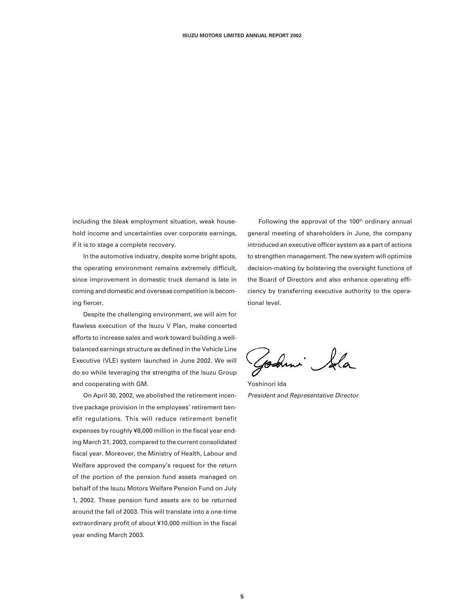including the bleak employment situation, weak household income and uncertainties over corporate earnings, if it is to stage a complete recovery.

In the automotive industry, despite some bright spots, the operating environment remains extremely difficult, since improvement in domestic truck demand is late in coming and domestic and overseas competition is becoming fiercer.

Despite the challenging environment, we will aim for flawless execution of the Isuzu V Plan, make concerted efforts to increase sales and work toward building a wellbalanced earnings structure as defined in the Vehicle Line Executive (VLE) system launched in June 2002. We will do so while leveraging the strengths of the Isuzu Group and cooperating with GM.

On April 30, 2002, we abolished the retirement incentive package provision in the employees' retirement benefit regulations. This will reduce retirement benefit expenses by roughly ¥8,000 million in the fiscal year ending March 31, 2003, compared to the current consolidated fiscal year. Moreover, the Ministry of Health, Labour and Welfare approved the company's request for the return of the portion of the pension fund assets managed on behalf of the Isuzu Motors Welfare Pension Fund on July 1, 2002. These pension fund assets are to be returned around the fall of 2003. This will translate into a one-time extraordinary profit of about ¥10,000 million in the fiscal year ending March 2003.

Following the approval of the 100<sup>th</sup> ordinary annual general meeting of shareholders in June, the company introduced an executive officer system as a part of actions to strengthen management. The new system will optimize decision-making by bolstering the oversight functions of the Board of Directors and also enhance operating efficiency by transferring executive authority to the operational level.

Godmi Sala

Yoshinori Ida President and Representative Director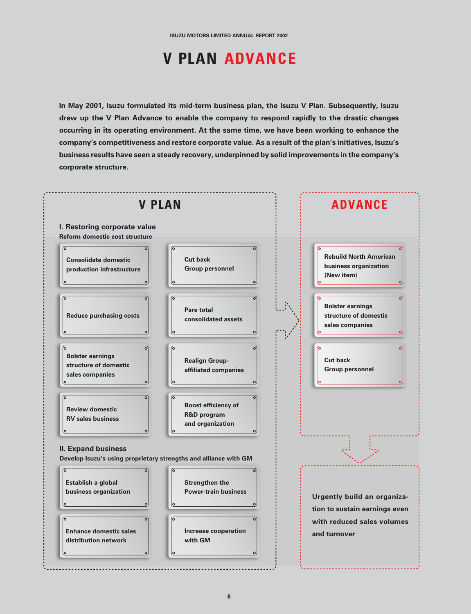## **V PLAN ADVANCE**

**In May 2001, Isuzu formulated its mid-term business plan, the Isuzu V Plan. Subsequently, Isuzu drew up the V Plan Advance to enable the company to respond rapidly to the drastic changes occurring in its operating environment. At the same time, we have been working to enhance the company's competitiveness and restore corporate value. As a result of the plan's initiatives, Isuzu's business results have seen a steady recovery, underpinned by solid improvements in the company's corporate structure.**

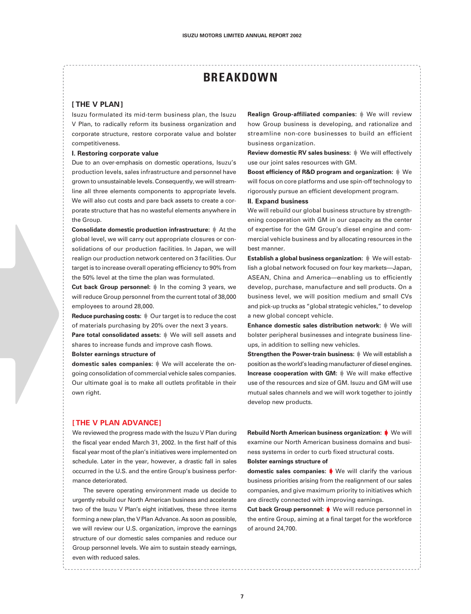### **BREAKDOWN**

#### **[ THE V PLAN ]**

Isuzu formulated its mid-term business plan, the Isuzu V Plan, to radically reform its business organization and corporate structure, restore corporate value and bolster competitiveness.

#### **I. Restoring corporate value**

Due to an over-emphasis on domestic operations, Isuzu's production levels, sales infrastructure and personnel have grown to unsustainable levels. Consequently, we will streamline all three elements components to appropriate levels. We will also cut costs and pare back assets to create a corporate structure that has no wasteful elements anywhere in the Group.

**Consolidate domestic production infrastructure:**  $\mathbf{\hat{F}}$  At the global level, we will carry out appropriate closures or consolidations of our production facilities. In Japan, we will realign our production network centered on 3 facilities. Our target is to increase overall operating efficiency to 90% from the 50% level at the time the plan was formulated.

**Cut back Group personnel:** In the coming 3 years, we will reduce Group personnel from the current total of 38,000 employees to around 28,000.

**Reduce purchasing costs:**  $\mathbf{\psi}$  Our target is to reduce the cost of materials purchasing by 20% over the next 3 years.

Pare total consolidated assets:  $\mathbb N$  We will sell assets and shares to increase funds and improve cash flows.

#### **Bolster earnings structure of**

**domestic sales companies:** We will accelerate the ongoing consolidation of commercial vehicle sales companies. Our ultimate goal is to make all outlets profitable in their own right.

**Realign Group-affiliated companies:** We will review how Group business is developing, and rationalize and streamline non-core businesses to build an efficient business organization.

**Review domestic RV sales business:**  $\mathbf{\psi}$  We will effectively use our joint sales resources with GM.

**Boost efficiency of R&D program and organization:**  $\mathbb{N}$  We will focus on core platforms and use spin-off technology to rigorously pursue an efficient development program.

#### **II. Expand business**

We will rebuild our global business structure by strengthening cooperation with GM in our capacity as the center of expertise for the GM Group's diesel engine and commercial vehicle business and by allocating resources in the best manner.

**Establish a global business organization:**  $\mathbb{N}$  We will establish a global network focused on four key markets—Japan, ASEAN, China and America—enabling us to efficiently develop, purchase, manufacture and sell products. On a business level, we will position medium and small CVs and pick-up trucks as "global strategic vehicles," to develop a new global concept vehicle.

**Enhance domestic sales distribution network:**  $\mathbf{\hat{F}}$  We will bolster peripheral businesses and integrate business lineups, in addition to selling new vehicles.

**Strengthen the Power-train business:** We will establish a position as the world's leading manufacturer of diesel engines. **Increase cooperation with GM:**  $\mathbf{W}$  We will make effective use of the resources and size of GM. Isuzu and GM will use mutual sales channels and we will work together to jointly develop new products.

#### **[ THE V PLAN ADVANCE ]**

We reviewed the progress made with the Isuzu V Plan during the fiscal year ended March 31, 2002. In the first half of this fiscal year most of the plan's initiatives were implemented on schedule. Later in the year, however, a drastic fall in sales occurred in the U.S. and the entire Group's business performance deteriorated.

The severe operating environment made us decide to urgently rebuild our North American business and accelerate two of the Isuzu V Plan's eight initiatives, these three items forming a new plan, the V Plan Advance. As soon as possible, we will review our U.S. organization, improve the earnings structure of our domestic sales companies and reduce our Group personnel levels. We aim to sustain steady earnings, even with reduced sales.

**Rebuild North American business organization:** We will examine our North American business domains and business systems in order to curb fixed structural costs.

#### **Bolster earnings structure of**

domestic sales companies:  $\blacklozenge$  We will clarify the various business priorities arising from the realignment of our sales companies, and give maximum priority to initiatives which are directly connected with improving earnings.

**Cut back Group personnel:** We will reduce personnel in the entire Group, aiming at a final target for the workforce of around 24,700.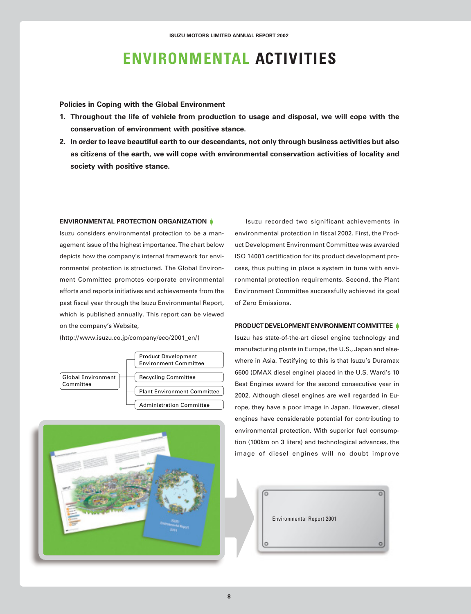## **ENVIRONMENTAL ACTIVITIES**

**Policies in Coping with the Global Environment**

- **1. Throughout the life of vehicle from production to usage and disposal, we will cope with the conservation of environment with positive stance.**
- **2. In order to leave beautiful earth to our descendants, not only through business activities but also as citizens of the earth, we will cope with environmental conservation activities of locality and society with positive stance.**

#### **ENVIRONMENTAL PROTECTION ORGANIZATION**

Isuzu considers environmental protection to be a management issue of the highest importance. The chart below depicts how the company's internal framework for environmental protection is structured. The Global Environment Committee promotes corporate environmental efforts and reports initiatives and achievements from the past fiscal year through the Isuzu Environmental Report, which is published annually. This report can be viewed on the company's Website,

(http://www.isuzu.co.jp/company/eco/2001\_en/)





Isuzu recorded two significant achievements in environmental protection in fiscal 2002. First, the Product Development Environment Committee was awarded ISO 14001 certification for its product development process, thus putting in place a system in tune with environmental protection requirements. Second, the Plant Environment Committee successfully achieved its goal of Zero Emissions.

#### **PRODUCT DEVELOPMENT ENVIRONMENT COMMITTEE**

Isuzu has state-of-the-art diesel engine technology and manufacturing plants in Europe, the U.S., Japan and elsewhere in Asia. Testifying to this is that Isuzu's Duramax 6600 (DMAX diesel engine) placed in the U.S. Ward's 10 Best Engines award for the second consecutive year in 2002. Although diesel engines are well regarded in Europe, they have a poor image in Japan. However, diesel engines have considerable potential for contributing to environmental protection. With superior fuel consumption (100km on 3 liters) and technological advances, the image of diesel engines will no doubt improve

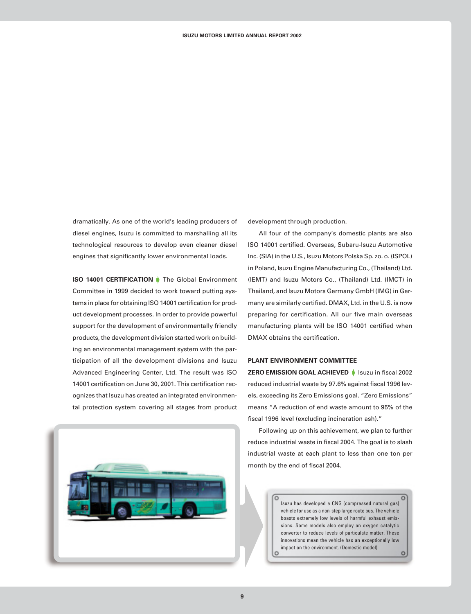dramatically. As one of the world's leading producers of diesel engines, Isuzu is committed to marshalling all its technological resources to develop even cleaner diesel engines that significantly lower environmental loads.

**ISO 14001 CERTIFICATION** The Global Environment Committee in 1999 decided to work toward putting systems in place for obtaining ISO 14001 certification for product development processes. In order to provide powerful support for the development of environmentally friendly products, the development division started work on building an environmental management system with the participation of all the development divisions and Isuzu Advanced Engineering Center, Ltd. The result was ISO 14001 certification on June 30, 2001. This certification recognizes that Isuzu has created an integrated environmental protection system covering all stages from product



development through production.

All four of the company's domestic plants are also ISO 14001 certified. Overseas, Subaru-Isuzu Automotive Inc. (SIA) in the U.S., Isuzu Motors Polska Sp. zo. o. (ISPOL) in Poland, Isuzu Engine Manufacturing Co., (Thailand) Ltd. (IEMT) and Isuzu Motors Co., (Thailand) Ltd. (IMCT) in Thailand, and Isuzu Motors Germany GmbH (IMG) in Germany are similarly certified. DMAX, Ltd. in the U.S. is now preparing for certification. All our five main overseas manufacturing plants will be ISO 14001 certified when DMAX obtains the certification.

#### **PLANT ENVIRONMENT COMMITTEE**

 $\circ$ 

**ZERO EMISSION GOAL ACHIEVED** Isuzu in fiscal 2002 reduced industrial waste by 97.6% against fiscal 1996 levels, exceeding its Zero Emissions goal. "Zero Emissions" means "A reduction of end waste amount to 95% of the fiscal 1996 level (excluding incineration ash)."

Following up on this achievement, we plan to further reduce industrial waste in fiscal 2004. The goal is to slash industrial waste at each plant to less than one ton per month by the end of fiscal 2004.

> Isuzu has developed a CNG (compressed natural gas) vehicle for use as a non-step large route bus. The vehicle boasts extremely low levels of harmful exhaust emissions. Some models also employ an oxygen catalytic converter to reduce levels of particulate matter. These innovations mean the vehicle has an exceptionally low impact on the environment. (Domestic model) lo ö

 $\circ$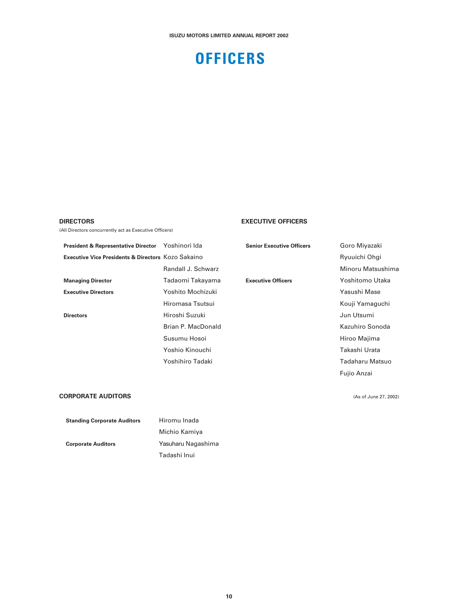## **OFFICERS**

#### **DIRECTORS**

(All Directors concurrently act as Executive Officers)

#### **EXECUTIVE OFFICERS**

**President & Representative Director** Yoshinori Ida **Executive Vice Presidents & Directors** Kozo Sakaino Randall J. Schwarz **Managing Director** Tadaomi Takayama **Executive Directors** Yoshito Mochizuki Hiromasa Tsutsui **Directors Hiroshi Suzuki** Brian P. MacDonald Susumu Hosoi Yoshio Kinouchi Yoshihiro Tadaki

**Senior Executive Officers Goro Miyazaki** 

Ryuuichi Ohgi Minoru Matsushima **Executive Officers** Yoshitomo Utaka Yasushi Mase Kouji Yamaguchi Jun Utsumi Kazuhiro Sonoda Hiroo Majima Takashi Urata Tadaharu Matsuo Fujio Anzai

#### **CORPORATE AUDITORS**

| <b>Standing Corporate Auditors</b> | Hiromu Inada       |
|------------------------------------|--------------------|
|                                    | Michio Kamiya      |
| <b>Corporate Auditors</b>          | Yasuharu Nagashima |
|                                    | Tadashi Inui       |

(As of June 27, 2002)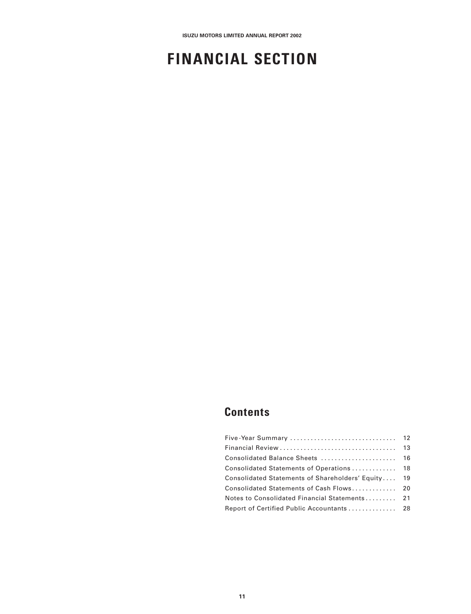## **FINANCIAL SECTION**

## **Contents**

| Consolidated Statements of Shareholders' Equity 19 |  |
|----------------------------------------------------|--|
| Consolidated Statements of Cash Flows 20           |  |
| Notes to Consolidated Financial Statements 21      |  |
|                                                    |  |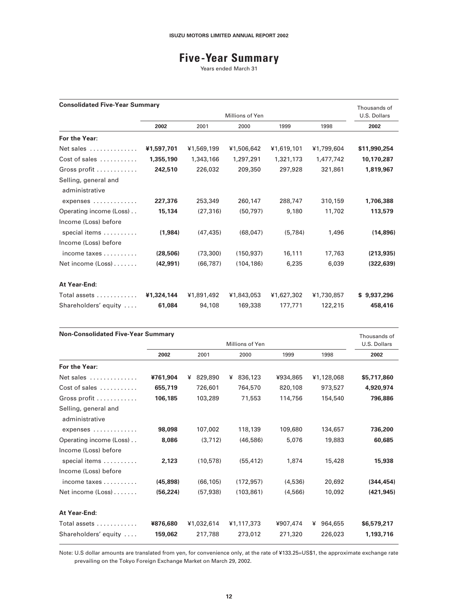## **Five-Year Summary**

Years ended March 31

| <b>Consolidated Five-Year Summary</b><br>Thousands of         |            |                 |            |            |            |              |  |
|---------------------------------------------------------------|------------|-----------------|------------|------------|------------|--------------|--|
|                                                               |            | Millions of Yen |            |            |            |              |  |
|                                                               | 2002       | 2001            | 2000       | 1999       | 1998       | 2002         |  |
| For the Year:                                                 |            |                 |            |            |            |              |  |
| Net sales                                                     | ¥1,597,701 | ¥1,569,199      | ¥1,506,642 | ¥1,619,101 | ¥1,799,604 | \$11,990,254 |  |
| Cost of sales $\dots\dots\dots$                               | 1,355,190  | 1,343,166       | 1,297,291  | 1,321,173  | 1,477,742  | 10,170,287   |  |
| Gross profit                                                  | 242,510    | 226,032         | 209,350    | 297,928    | 321,861    | 1,819,967    |  |
| Selling, general and<br>administrative                        |            |                 |            |            |            |              |  |
| expenses                                                      | 227,376    | 253,349         | 260,147    | 288,747    | 310,159    | 1,706,388    |  |
| Operating income (Loss)                                       | 15,134     | (27, 316)       | (50, 797)  | 9,180      | 11,702     | 113,579      |  |
| Income (Loss) before<br>special items<br>Income (Loss) before | (1,984)    | (47, 435)       | (68, 047)  | (5,784)    | 1,496      | (14, 896)    |  |
| income taxes $\ldots \ldots \ldots$                           | (28, 506)  | (73, 300)       | (150, 937) | 16,111     | 17,763     | (213, 935)   |  |
| Net income (Loss)                                             | (42, 991)  | (66, 787)       | (104, 186) | 6,235      | 6,039      | (322, 639)   |  |
| At Year-End:                                                  |            |                 |            |            |            |              |  |
| Total assets                                                  | ¥1,324,144 | ¥1,891,492      | ¥1,843,053 | ¥1,627,302 | ¥1,730,857 | \$9,937,296  |  |
| Shareholders' equity                                          | 61,084     | 94,108          | 169,338    | 177.771    | 122,215    | 458,416      |  |

| <b>Non-Consolidated Five-Year Summary</b> |           |              |                 |          |              |              |
|-------------------------------------------|-----------|--------------|-----------------|----------|--------------|--------------|
|                                           |           |              | Millions of Yen |          |              | U.S. Dollars |
|                                           | 2002      | 2001         | 2000            | 1999     | 1998         | 2002         |
| For the Year:                             |           |              |                 |          |              |              |
| Net sales                                 | ¥761,904  | 829,890<br>¥ | 836,123<br>¥    | ¥934,865 | ¥1,128,068   | \$5,717,860  |
| Cost of sales $\dots\dots\dots$           | 655,719   | 726,601      | 764,570         | 820,108  | 973,527      | 4,920,974    |
| Gross profit                              | 106,185   | 103,289      | 71,553          | 114,756  | 154,540      | 796,886      |
| Selling, general and<br>administrative    |           |              |                 |          |              |              |
| expenses                                  | 98,098    | 107,002      | 118,139         | 109,680  | 134,657      | 736,200      |
| Operating income (Loss)                   | 8,086     | (3,712)      | (46,586)        | 5,076    | 19,883       | 60,685       |
| Income (Loss) before                      |           |              |                 |          |              |              |
| special items<br>Income (Loss) before     | 2,123     | (10, 578)    | (55.412)        | 1,874    | 15,428       | 15,938       |
| income taxes $\ldots \ldots \ldots$       | (45, 898) | (66, 105)    | (172, 957)      | (4,536)  | 20,692       | (344, 454)   |
| Net income (Loss)                         | (56, 224) | (57, 938)    | (103, 861)      | (4,566)  | 10,092       | (421, 945)   |
| At Year-End:                              |           |              |                 |          |              |              |
| Total assets                              | ¥876,680  | ¥1,032,614   | ¥1,117,373      | ¥907,474 | 964,655<br>¥ | \$6,579,217  |
| Shareholders' equity                      | 159,062   | 217,788      | 273,012         | 271,320  | 226,023      | 1,193,716    |

Note: U.S dollar amounts are translated from yen, for convenience only, at the rate of ¥133.25=US\$1, the approximate exchange rate prevailing on the Tokyo Foreign Exchange Market on March 29, 2002.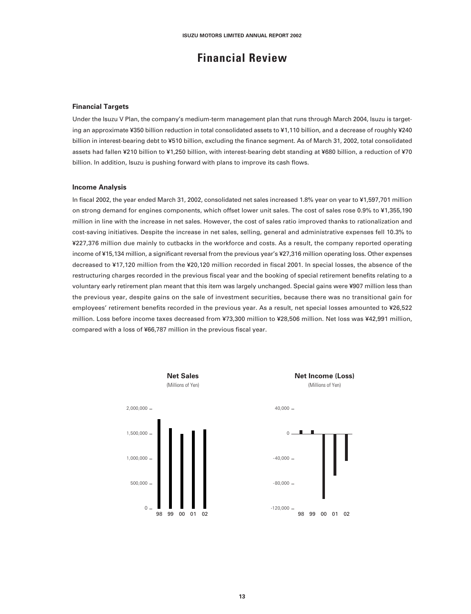### **Financial Review**

#### **Financial Targets**

Under the Isuzu V Plan, the company's medium-term management plan that runs through March 2004, Isuzu is targeting an approximate ¥350 billion reduction in total consolidated assets to ¥1,110 billion, and a decrease of roughly ¥240 billion in interest-bearing debt to ¥510 billion, excluding the finance segment. As of March 31, 2002, total consolidated assets had fallen ¥210 billion to ¥1,250 billion, with interest-bearing debt standing at ¥680 billion, a reduction of ¥70 billion. In addition, Isuzu is pushing forward with plans to improve its cash flows.

#### **Income Analysis**

In fiscal 2002, the year ended March 31, 2002, consolidated net sales increased 1.8% year on year to ¥1,597,701 million on strong demand for engines components, which offset lower unit sales. The cost of sales rose 0.9% to ¥1,355,190 million in line with the increase in net sales. However, the cost of sales ratio improved thanks to rationalization and cost-saving initiatives. Despite the increase in net sales, selling, general and administrative expenses fell 10.3% to ¥227,376 million due mainly to cutbacks in the workforce and costs. As a result, the company reported operating income of ¥15,134 million, a significant reversal from the previous year's ¥27,316 million operating loss. Other expenses decreased to ¥17,120 million from the ¥20,120 million recorded in fiscal 2001. In special losses, the absence of the restructuring charges recorded in the previous fiscal year and the booking of special retirement benefits relating to a voluntary early retirement plan meant that this item was largely unchanged. Special gains were ¥907 million less than the previous year, despite gains on the sale of investment securities, because there was no transitional gain for employees' retirement benefits recorded in the previous year. As a result, net special losses amounted to ¥26,522 million. Loss before income taxes decreased from ¥73,300 million to ¥28,506 million. Net loss was ¥42,991 million, compared with a loss of ¥66,787 million in the previous fiscal year.

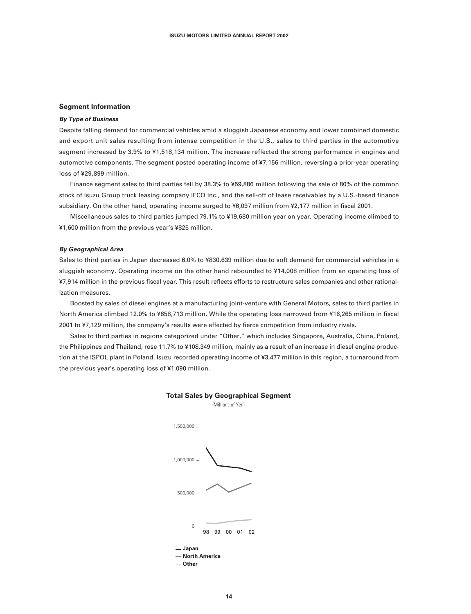#### **Segment Information**

#### **By Type of Business**

Despite falling demand for commercial vehicles amid a sluggish Japanese economy and lower combined domestic and export unit sales resulting from intense competition in the U.S., sales to third parties in the automotive segment increased by 3.9% to ¥1,518,134 million. The increase reflected the strong performance in engines and automotive components. The segment posted operating income of ¥7,156 million, reversing a prior-year operating loss of ¥29,899 million.

Finance segment sales to third parties fell by 38.3% to ¥59,886 million following the sale of 80% of the common stock of Isuzu Group truck leasing company IFCO Inc., and the sell-off of lease receivables by a U.S.-based finance subsidiary. On the other hand, operating income surged to ¥6,097 million from ¥2,177 million in fiscal 2001.

Miscellaneous sales to third parties jumped 79.1% to ¥19,680 million year on year. Operating income climbed to ¥1,600 million from the previous year's ¥825 million.

#### **By Geographical Area**

Sales to third parties in Japan decreased 6.0% to ¥830,639 million due to soft demand for commercial vehicles in a sluggish economy. Operating income on the other hand rebounded to ¥14,008 million from an operating loss of ¥7,914 million in the previous fiscal year. This result reflects efforts to restructure sales companies and other rationalization measures.

Boosted by sales of diesel engines at a manufacturing joint-venture with General Motors, sales to third parties in North America climbed 12.0% to ¥658,713 million. While the operating loss narrowed from ¥16,265 million in fiscal 2001 to ¥7,129 million, the company's results were affected by fierce competition from industry rivals.

Sales to third parties in regions categorized under "Other," which includes Singapore, Australia, China, Poland, the Philippines and Thailand, rose 11.7% to ¥108,349 million, mainly as a result of an increase in diesel engine production at the ISPOL plant in Poland. Isuzu recorded operating income of ¥3,477 million in this region, a turnaround from the previous year's operating loss of ¥1,090 million.





**14**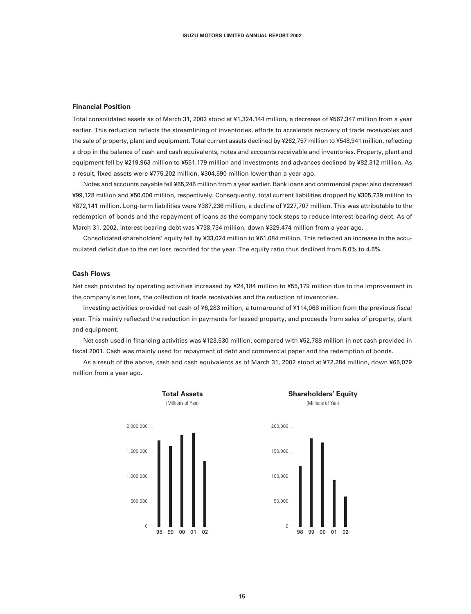#### **Financial Position**

Total consolidated assets as of March 31, 2002 stood at ¥1,324,144 million, a decrease of ¥567,347 million from a year earlier. This reduction reflects the streamlining of inventories, efforts to accelerate recovery of trade receivables and the sale of property, plant and equipment. Total current assets declined by ¥262,757 million to ¥548,941 million, reflecting a drop in the balance of cash and cash equivalents, notes and accounts receivable and inventories. Property, plant and equipment fell by ¥219,963 million to ¥551,179 million and investments and advances declined by ¥82,312 million. As a result, fixed assets were ¥775,202 million, ¥304,590 million lower than a year ago.

Notes and accounts payable fell ¥65,246 million from a year earlier. Bank loans and commercial paper also decreased ¥99,128 million and ¥50,000 million, respectively. Consequently, total current liabilities dropped by ¥305,739 million to ¥872,141 million. Long-term liabilities were ¥387,236 million, a decline of ¥227,707 million. This was attributable to the redemption of bonds and the repayment of loans as the company took steps to reduce interest-bearing debt. As of March 31, 2002, interest-bearing debt was ¥738,734 million, down ¥329,474 million from a year ago.

Consolidated shareholders' equity fell by ¥33,024 million to ¥61,084 million. This reflected an increase in the accumulated deficit due to the net loss recorded for the year. The equity ratio thus declined from 5.0% to 4.6%.

#### **Cash Flows**

Net cash provided by operating activities increased by ¥24,184 million to ¥55,179 million due to the improvement in the company's net loss, the collection of trade receivables and the reduction of inventories.

Investing activities provided net cash of ¥6,283 million, a turnaround of ¥114,068 million from the previous fiscal year. This mainly reflected the reduction in payments for leased property, and proceeds from sales of property, plant and equipment.

Net cash used in financing activities was ¥123,530 million, compared with ¥52,788 million in net cash provided in fiscal 2001. Cash was mainly used for repayment of debt and commercial paper and the redemption of bonds.

As a result of the above, cash and cash equivalents as of March 31, 2002 stood at ¥72,284 million, down ¥65,079 million from a year ago.



**Shareholders' Equity** (Millions of Yen)

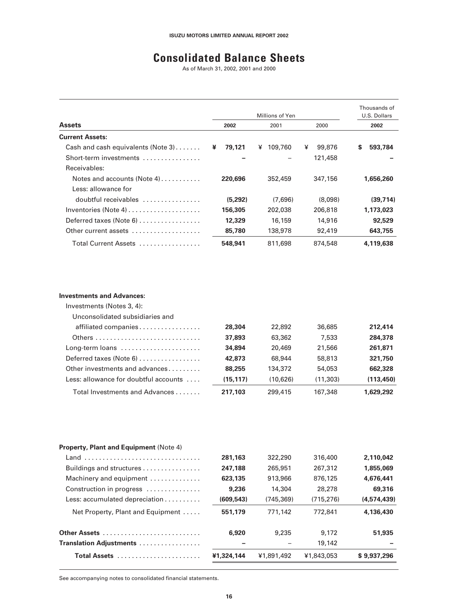## **Consolidated Balance Sheets**

As of March 31, 2002, 2001 and 2000

|                                       |             | Thousands of<br>U.S. Dollars |             |              |
|---------------------------------------|-------------|------------------------------|-------------|--------------|
| <b>Assets</b>                         | 2002        | 2001                         | 2000        | 2002         |
| <b>Current Assets:</b>                |             |                              |             |              |
| Cash and cash equivalents (Note $3$ ) | 79,121<br>¥ | 109,760<br>¥                 | ¥<br>99,876 | S<br>593,784 |
| Short-term investments                |             |                              | 121,458     |              |
| Receivables:                          |             |                              |             |              |
| Notes and accounts (Note 4) $\dots$   | 220.696     | 352,459                      | 347,156     | 1,656,260    |
| Less: allowance for                   |             |                              |             |              |
| doubtful receivables                  | (5,292)     | (7,696)                      | (8,098)     | (39, 714)    |
| Inventories (Note 4) $\dots$          | 156.305     | 202,038                      | 206,818     | 1,173,023    |
| Deferred taxes (Note 6)               | 12,329      | 16,159                       | 14,916      | 92,529       |
| Other current assets                  | 85,780      | 138,978                      | 92,419      | 643,755      |
| Total Current Assets                  | 548.941     | 811,698                      | 874,548     | 4,119,638    |

#### **Investments and Advances:**

| Investments (Notes 3, 4):             |           |          |          |            |
|---------------------------------------|-----------|----------|----------|------------|
| Unconsolidated subsidiaries and       |           |          |          |            |
| affiliated companies                  | 28,304    | 22,892   | 36,685   | 212,414    |
|                                       | 37,893    | 63,362   | 7.533    | 284,378    |
| Long-term loans                       | 34,894    | 20,469   | 21,566   | 261,871    |
| Deferred taxes (Note 6)               | 42,873    | 68,944   | 58,813   | 321,750    |
| Other investments and advances        | 88,255    | 134,372  | 54,053   | 662,328    |
| Less: allowance for doubtful accounts | (15, 117) | (10,626) | (11,303) | (113, 450) |
| Total Investments and Advances        | 217,103   | 299,415  | 167,348  | 1.629.292  |

| Total Assets                                          | ¥1,324,144 | ¥1,891,492 | ¥1,843,053 | \$9.937.296 |
|-------------------------------------------------------|------------|------------|------------|-------------|
| Translation Adjustments                               |            |            | 19,142     |             |
|                                                       | 6,920      | 9,235      | 9.172      | 51,935      |
| Net Property, Plant and Equipment                     | 551.179    | 771.142    | 772,841    | 4.136.430   |
| Less: accumulated depreciation $\ldots \ldots \ldots$ | (609.543)  | (745, 369) | (715.276)  | (4,574,439) |
| Construction in progress                              | 9,236      | 14,304     | 28,278     | 69,316      |
| Machinery and equipment                               | 623.135    | 913,966    | 876,125    | 4.676.441   |
| Buildings and structures                              | 247.188    | 265,951    | 267,312    | 1,855,069   |
| Land                                                  | 281,163    | 322,290    | 316,400    | 2,110,042   |
| <b>Property, Plant and Equipment (Note 4)</b>         |            |            |            |             |
|                                                       |            |            |            |             |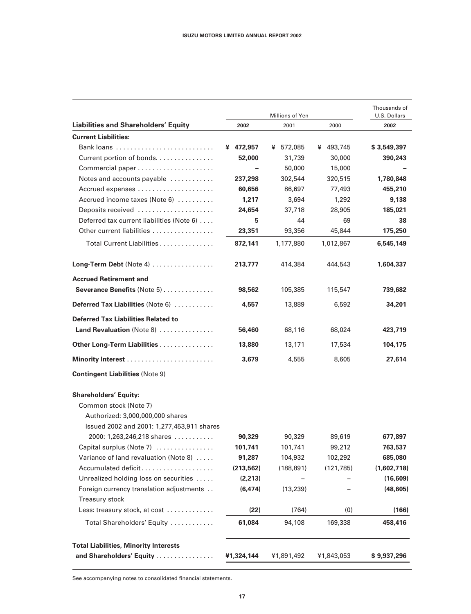|                                                                                                                                         |            | Thousands of<br>U.S. Dollars |            |             |
|-----------------------------------------------------------------------------------------------------------------------------------------|------------|------------------------------|------------|-------------|
| <b>Liabilities and Shareholders' Equity</b>                                                                                             | 2002       | 2001                         | 2000       | 2002        |
| <b>Current Liabilities:</b>                                                                                                             |            |                              |            |             |
|                                                                                                                                         | ¥ 472,957  | ¥ 572,085                    | ¥ 493,745  | \$3,549,397 |
| Current portion of bonds.                                                                                                               | 52,000     | 31,739                       | 30,000     | 390,243     |
|                                                                                                                                         |            | 50,000                       | 15,000     |             |
| Notes and accounts payable                                                                                                              | 237,298    | 302,544                      | 320,515    | 1,780,848   |
| Accrued expenses                                                                                                                        | 60,656     | 86,697                       | 77,493     | 455,210     |
| Accrued income taxes (Note 6)                                                                                                           | 1,217      | 3,694                        | 1,292      | 9,138       |
| Deposits received                                                                                                                       | 24,654     | 37,718                       | 28,905     | 185,021     |
| Deferred tax current liabilities (Note 6)                                                                                               | 5          | 44                           | 69         | 38          |
| Other current liabilities                                                                                                               | 23,351     | 93,356                       | 45,844     | 175,250     |
| Total Current Liabilities                                                                                                               | 872,141    | 1,177,880                    | 1,012,867  | 6,545,149   |
| Long-Term Debt (Note 4)                                                                                                                 | 213,777    | 414,384                      | 444,543    | 1,604,337   |
| <b>Accrued Retirement and</b>                                                                                                           |            |                              |            |             |
| Severance Benefits (Note 5)                                                                                                             | 98,562     | 105,385                      | 115,547    | 739,682     |
| Deferred Tax Liabilities (Note 6)                                                                                                       | 4,557      | 13,889                       | 6,592      | 34,201      |
| <b>Deferred Tax Liabilities Related to</b><br>Land Revaluation (Note 8)                                                                 |            |                              |            |             |
|                                                                                                                                         | 56,460     | 68,116                       | 68,024     | 423,719     |
| Other Long-Term Liabilities                                                                                                             | 13,880     | 13,171                       | 17,534     | 104,175     |
|                                                                                                                                         | 3,679      | 4,555                        | 8,605      | 27,614      |
| <b>Contingent Liabilities (Note 9)</b>                                                                                                  |            |                              |            |             |
| <b>Shareholders' Equity:</b><br>Common stock (Note 7)<br>Authorized: 3,000,000,000 shares<br>Issued 2002 and 2001: 1,277,453,911 shares |            |                              |            |             |
| 2000: 1,263,246,218 shares                                                                                                              | 90,329     | 90,329                       | 89,619     | 677,897     |
| Capital surplus (Note 7)                                                                                                                | 101,741    | 101,741                      | 99,212     | 763,537     |
| Variance of land revaluation (Note 8)                                                                                                   | 91,287     | 104,932                      | 102,292    | 685,080     |
| Accumulated deficit                                                                                                                     | (213, 562) | (188, 891)                   | (121, 785) | (1,602,718) |
| Unrealized holding loss on securities                                                                                                   | (2,213)    |                              |            | (16, 609)   |
| Foreign currency translation adjustments<br><b>Treasury stock</b>                                                                       | (6, 474)   | (13, 239)                    |            | (48, 605)   |
| Less: treasury stock, at cost                                                                                                           | (22)       | (764)                        | (0)        | (166)       |
| Total Shareholders' Equity                                                                                                              | 61,084     | 94,108                       | 169,338    | 458,416     |
| <b>Total Liabilities, Minority Interests</b>                                                                                            |            |                              |            |             |
| and Shareholders' Equity                                                                                                                | ¥1,324,144 | ¥1,891,492                   | ¥1,843,053 | \$9,937,296 |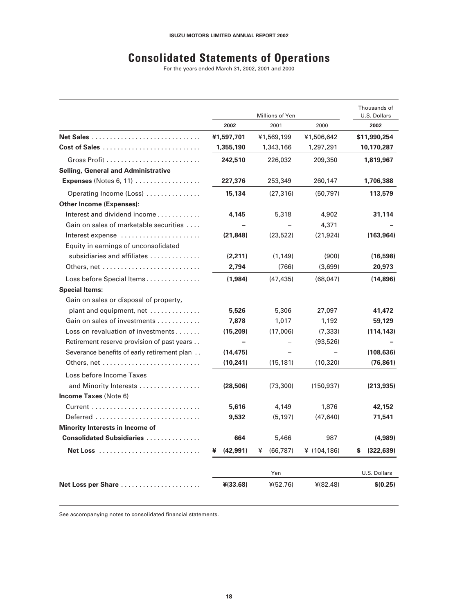## **Consolidated Statements of Operations**

For the years ended March 31, 2002, 2001 and 2000

|                                             |                | Millions of Yen |                | Thousands of<br>U.S. Dollars |
|---------------------------------------------|----------------|-----------------|----------------|------------------------------|
|                                             | 2002           | 2001            | 2000           | 2002                         |
| Net Sales                                   | ¥1,597,701     | ¥1,569,199      | ¥1,506,642     | \$11,990,254                 |
|                                             | 1,355,190      | 1,343,166       | 1,297,291      | 10,170,287                   |
|                                             | 242,510        | 226,032         | 209,350        | 1,819,967                    |
| <b>Selling, General and Administrative</b>  |                |                 |                |                              |
| <b>Expenses</b> (Notes 6, 11) $\ldots$      | 227,376        | 253,349         | 260,147        | 1,706,388                    |
| Operating Income (Loss)                     | 15,134         | (27, 316)       | (50, 797)      | 113,579                      |
| <b>Other Income (Expenses):</b>             |                |                 |                |                              |
| Interest and dividend income                | 4,145          | 5,318           | 4,902          | 31,114                       |
| Gain on sales of marketable securities      |                |                 | 4,371          |                              |
| Interest expense                            | (21, 848)      | (23, 522)       | (21, 924)      | (163, 964)                   |
| Equity in earnings of unconsolidated        |                |                 |                |                              |
| subsidiaries and affiliates                 | (2, 211)       | (1, 149)        | (900)          | (16, 598)                    |
|                                             | 2,794          | (766)           | (3,699)        | 20,973                       |
| Loss before Special Items                   | (1,984)        | (47, 435)       | (68,047)       | (14,896)                     |
| <b>Special Items:</b>                       |                |                 |                |                              |
| Gain on sales or disposal of property,      |                |                 |                |                              |
| plant and equipment, net                    | 5,526          | 5,306           | 27,097         | 41,472                       |
| Gain on sales of investments                | 7,878          | 1,017           | 1,192          | 59,129                       |
| Loss on revaluation of investments          | (15, 209)      | (17,006)        | (7, 333)       | (114, 143)                   |
| Retirement reserve provision of past years  |                |                 | (93, 526)      |                              |
| Severance benefits of early retirement plan | (14, 475)      |                 |                | (108, 636)                   |
|                                             | (10, 241)      | (15, 181)       | (10, 320)      | (76, 861)                    |
| Loss before Income Taxes                    |                |                 |                |                              |
| and Minority Interests                      | (28, 506)      | (73, 300)       | (150, 937)     | (213, 935)                   |
| <b>Income Taxes (Note 6)</b>                |                |                 |                |                              |
|                                             | 5,616          | 4,149           | 1,876          | 42,152                       |
| Deferred                                    | 9,532          | (5, 197)        | (47, 640)      | 71,541                       |
| Minority Interests in Income of             |                |                 |                |                              |
| <b>Consolidated Subsidiaries </b>           | 664            | 5,466           | 987            | (4,989)                      |
|                                             | (42, 991)<br>¥ | ¥<br>(66, 787)  | ¥ $(104, 186)$ | (322, 639)<br>s              |
|                                             |                | Yen             |                | U.S. Dollars                 |
| Net Loss per Share                          | ¥(33.68)       | $*(52.76)$      | $*(82.48)$     | \$(0.25)                     |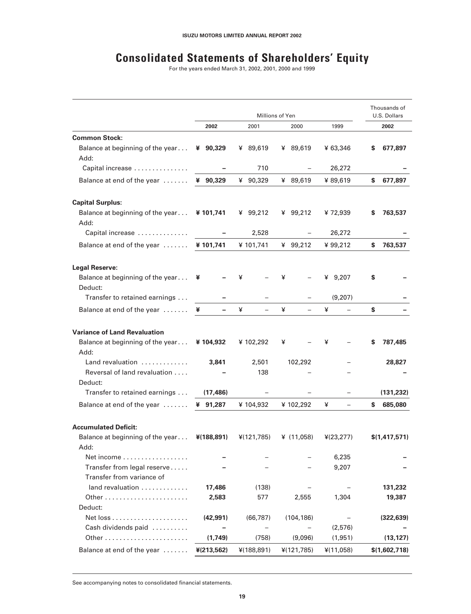## **Consolidated Statements of Shareholders' Equity**

For the years ended March 31, 2002, 2001, 2000 and 1999

|                                             | Millions of Yen |             |              |            | Thousands of<br>U.S. Dollars |
|---------------------------------------------|-----------------|-------------|--------------|------------|------------------------------|
|                                             | 2002            | 2001        | 2000         | 1999       | 2002                         |
| <b>Common Stock:</b>                        |                 |             |              |            |                              |
| Balance at beginning of the year<br>Add:    | ¥ 90,329        | ¥ 89,619    | ¥ 89,619     | ¥ 63,346   | 677,897<br>S                 |
| Capital increase                            |                 | 710         |              | 26,272     |                              |
| Balance at end of the year                  | ¥ 90,329        | 90,329<br>¥ | ¥ 89,619     | ¥ 89,619   | \$<br>677,897                |
| <b>Capital Surplus:</b>                     |                 |             |              |            |                              |
| Balance at beginning of the year<br>Add:    | ¥101,741        | ¥ 99,212    | ¥ 99,212     | ¥ 72,939   | 763,537<br>S                 |
| Capital increase                            |                 | 2,528       |              | 26,272     |                              |
| Balance at end of the year                  | ¥101,741        | ¥ 101,741   | ¥ 99,212     | ¥99,212    | \$<br>763,537                |
| <b>Legal Reserve:</b>                       |                 |             |              |            |                              |
| Balance at beginning of the year<br>Deduct: | ¥               | ¥           | ¥            | ¥ $9.207$  | \$                           |
| Transfer to retained earnings               |                 |             |              | (9,207)    |                              |
| Balance at end of the year                  | ¥               | ¥           | ¥            | ¥          | \$                           |
| <b>Variance of Land Revaluation</b>         |                 |             |              |            |                              |
| Balance at beginning of the year<br>Add:    | ¥104,932        | ¥ 102,292   | ¥            | ¥          | 787,485<br>S                 |
| Land revaluation                            | 3,841           | 2,501       | 102,292      |            | 28,827                       |
| Reversal of land revaluation<br>Deduct:     |                 | 138         |              |            |                              |
| Transfer to retained earnings               | (17, 486)       |             |              |            | (131, 232)                   |
| Balance at end of the year                  | ¥ 91,287        | ¥ 104,932   | ¥102,292     | ¥          | \$<br>685,080                |
| <b>Accumulated Deficit:</b>                 |                 |             |              |            |                              |
| Balance at beginning of the year<br>Add:    | ¥(188,891)      | 4(121,785)  | ¥ $(11,058)$ | 4(23, 277) | \$(1, 417, 571)              |
| Net income                                  |                 |             |              | 6,235      |                              |
| Transfer from legal reserve                 |                 |             |              | 9,207      |                              |
| Transfer from variance of                   |                 |             |              |            |                              |
| land revaluation                            | 17,486          | (138)       |              |            | 131,232                      |
|                                             | 2,583           | 577         | 2,555        | 1,304      | 19,387                       |
| Deduct:                                     |                 |             |              |            | (322, 639)                   |
| Cash dividends paid                         | (42, 991)       | (66, 787)   | (104, 186)   | (2,576)    |                              |
|                                             | (1,749)         | (758)       | (9,096)      | (1,951)    | (13, 127)                    |
| Balance at end of the year                  | ¥(213,562)      | ¥(188,891)  | 4(121,785)   | ¥(11,058)  | \$(1,602,718)                |
|                                             |                 |             |              |            |                              |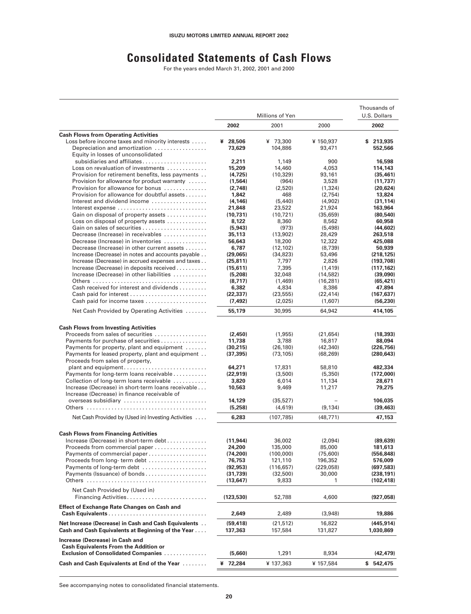## **Consolidated Statements of Cash Flows**

For the years ended March 31, 2002, 2001 and 2000

|                                                                                                                                                                                                                                                                                                                                                                                                                                                                                                                                                                                                                                                                                                                                                                                                                           | Millions of Yen                                                                                                                                                                             |                                                                                                                                                                                                | Thousands of<br>U.S. Dollars                                                                                                                                                       |                                                                                                                                                                                                            |
|---------------------------------------------------------------------------------------------------------------------------------------------------------------------------------------------------------------------------------------------------------------------------------------------------------------------------------------------------------------------------------------------------------------------------------------------------------------------------------------------------------------------------------------------------------------------------------------------------------------------------------------------------------------------------------------------------------------------------------------------------------------------------------------------------------------------------|---------------------------------------------------------------------------------------------------------------------------------------------------------------------------------------------|------------------------------------------------------------------------------------------------------------------------------------------------------------------------------------------------|------------------------------------------------------------------------------------------------------------------------------------------------------------------------------------|------------------------------------------------------------------------------------------------------------------------------------------------------------------------------------------------------------|
|                                                                                                                                                                                                                                                                                                                                                                                                                                                                                                                                                                                                                                                                                                                                                                                                                           | 2002                                                                                                                                                                                        | 2001                                                                                                                                                                                           | 2000                                                                                                                                                                               | 2002                                                                                                                                                                                                       |
| <b>Cash Flows from Operating Activities</b>                                                                                                                                                                                                                                                                                                                                                                                                                                                                                                                                                                                                                                                                                                                                                                               |                                                                                                                                                                                             |                                                                                                                                                                                                |                                                                                                                                                                                    |                                                                                                                                                                                                            |
| Loss before income taxes and minority interests                                                                                                                                                                                                                                                                                                                                                                                                                                                                                                                                                                                                                                                                                                                                                                           | ¥ 28,506                                                                                                                                                                                    | ¥ 73,300                                                                                                                                                                                       | ¥ 150,937                                                                                                                                                                          | \$213,935                                                                                                                                                                                                  |
| Depreciation and amortization                                                                                                                                                                                                                                                                                                                                                                                                                                                                                                                                                                                                                                                                                                                                                                                             | 73,629                                                                                                                                                                                      | 104,886                                                                                                                                                                                        | 93,471                                                                                                                                                                             | 552,566                                                                                                                                                                                                    |
| Equity in losses of unconsolidated                                                                                                                                                                                                                                                                                                                                                                                                                                                                                                                                                                                                                                                                                                                                                                                        |                                                                                                                                                                                             |                                                                                                                                                                                                |                                                                                                                                                                                    |                                                                                                                                                                                                            |
| subsidiaries and affiliates<br>Loss on revaluation of investments                                                                                                                                                                                                                                                                                                                                                                                                                                                                                                                                                                                                                                                                                                                                                         | 2,211<br>15,209                                                                                                                                                                             | 1,149<br>14,460                                                                                                                                                                                | 900<br>4,053                                                                                                                                                                       | 16,598<br>114,143                                                                                                                                                                                          |
| Provision for retirement benefits, less payments                                                                                                                                                                                                                                                                                                                                                                                                                                                                                                                                                                                                                                                                                                                                                                          | (4, 725)                                                                                                                                                                                    | (10, 329)                                                                                                                                                                                      | 93,161                                                                                                                                                                             | (35, 461)                                                                                                                                                                                                  |
| Provision for allowance for product warranty                                                                                                                                                                                                                                                                                                                                                                                                                                                                                                                                                                                                                                                                                                                                                                              | (1, 564)                                                                                                                                                                                    | (964)                                                                                                                                                                                          | 3,528                                                                                                                                                                              | (11, 737)                                                                                                                                                                                                  |
| Provision for allowance for bonus                                                                                                                                                                                                                                                                                                                                                                                                                                                                                                                                                                                                                                                                                                                                                                                         | (2,748)                                                                                                                                                                                     | (2.520)                                                                                                                                                                                        | (1, 324)                                                                                                                                                                           | (20.624)                                                                                                                                                                                                   |
| Provision for allowance for doubtful assets                                                                                                                                                                                                                                                                                                                                                                                                                                                                                                                                                                                                                                                                                                                                                                               | 1,842                                                                                                                                                                                       | 468                                                                                                                                                                                            | (2,754)                                                                                                                                                                            | 13,824                                                                                                                                                                                                     |
| Interest and dividend income                                                                                                                                                                                                                                                                                                                                                                                                                                                                                                                                                                                                                                                                                                                                                                                              | (4, 146)                                                                                                                                                                                    | (5,440)                                                                                                                                                                                        | (4,902)                                                                                                                                                                            | (31, 114)                                                                                                                                                                                                  |
| Interest expense                                                                                                                                                                                                                                                                                                                                                                                                                                                                                                                                                                                                                                                                                                                                                                                                          | 21,848                                                                                                                                                                                      | 23,522                                                                                                                                                                                         | 21,924                                                                                                                                                                             | 163,964                                                                                                                                                                                                    |
| Gain on disposal of property assets                                                                                                                                                                                                                                                                                                                                                                                                                                                                                                                                                                                                                                                                                                                                                                                       | (10,731)                                                                                                                                                                                    | (10, 721)                                                                                                                                                                                      | (35, 659)                                                                                                                                                                          | (80.540)                                                                                                                                                                                                   |
| Loss on disposal of property assets                                                                                                                                                                                                                                                                                                                                                                                                                                                                                                                                                                                                                                                                                                                                                                                       | 8,122<br>(5, 943)                                                                                                                                                                           | 8,360<br>(973)                                                                                                                                                                                 | 8,562<br>(5,498)                                                                                                                                                                   | 60,958<br>(44, 602)                                                                                                                                                                                        |
| Decrease (Increase) in receivables                                                                                                                                                                                                                                                                                                                                                                                                                                                                                                                                                                                                                                                                                                                                                                                        | 35,113                                                                                                                                                                                      | (13,902)                                                                                                                                                                                       | 28,429                                                                                                                                                                             | 263,518                                                                                                                                                                                                    |
| Decrease (Increase) in inventories                                                                                                                                                                                                                                                                                                                                                                                                                                                                                                                                                                                                                                                                                                                                                                                        | 56,643                                                                                                                                                                                      | 18,200                                                                                                                                                                                         | 12,322                                                                                                                                                                             | 425,088                                                                                                                                                                                                    |
| Decrease (Increase) in other current assets                                                                                                                                                                                                                                                                                                                                                                                                                                                                                                                                                                                                                                                                                                                                                                               | 6,787                                                                                                                                                                                       | (12, 102)                                                                                                                                                                                      | (8,739)                                                                                                                                                                            | 50,939                                                                                                                                                                                                     |
| Increase (Decrease) in notes and accounts payable                                                                                                                                                                                                                                                                                                                                                                                                                                                                                                                                                                                                                                                                                                                                                                         | (29,065)                                                                                                                                                                                    | (34, 823)                                                                                                                                                                                      | 53,496                                                                                                                                                                             | (218, 125)                                                                                                                                                                                                 |
| Increase (Decrease) in accrued expenses and taxes                                                                                                                                                                                                                                                                                                                                                                                                                                                                                                                                                                                                                                                                                                                                                                         | (25, 811)                                                                                                                                                                                   | 7,797                                                                                                                                                                                          | 2.826                                                                                                                                                                              | (193, 708)                                                                                                                                                                                                 |
| Increase (Decrease) in deposits received                                                                                                                                                                                                                                                                                                                                                                                                                                                                                                                                                                                                                                                                                                                                                                                  | (15,611)                                                                                                                                                                                    | 7,395                                                                                                                                                                                          | (1.419)                                                                                                                                                                            | (117, 162)                                                                                                                                                                                                 |
| Increase (Decrease) in other liabilities                                                                                                                                                                                                                                                                                                                                                                                                                                                                                                                                                                                                                                                                                                                                                                                  | (5,208)                                                                                                                                                                                     | 32,048                                                                                                                                                                                         | (14, 582)                                                                                                                                                                          | (39,090)                                                                                                                                                                                                   |
|                                                                                                                                                                                                                                                                                                                                                                                                                                                                                                                                                                                                                                                                                                                                                                                                                           | (8,717)                                                                                                                                                                                     | (1,469)                                                                                                                                                                                        | (16, 281)                                                                                                                                                                          | (65, 421)                                                                                                                                                                                                  |
| Cash received for interest and dividends<br>Cash paid for interest                                                                                                                                                                                                                                                                                                                                                                                                                                                                                                                                                                                                                                                                                                                                                        | 6,382<br>(22, 337)                                                                                                                                                                          | 4,834<br>(23, 555)                                                                                                                                                                             | 8,386<br>(22, 414)                                                                                                                                                                 | 47,894<br>(167, 637)                                                                                                                                                                                       |
| Cash paid for income taxes                                                                                                                                                                                                                                                                                                                                                                                                                                                                                                                                                                                                                                                                                                                                                                                                | (7, 492)                                                                                                                                                                                    | (2,025)                                                                                                                                                                                        | (1,607)                                                                                                                                                                            | (56, 230)                                                                                                                                                                                                  |
| Net Cash Provided by Operating Activities                                                                                                                                                                                                                                                                                                                                                                                                                                                                                                                                                                                                                                                                                                                                                                                 | 55,179                                                                                                                                                                                      | 30,995                                                                                                                                                                                         | 64,942                                                                                                                                                                             | 414,105                                                                                                                                                                                                    |
| <b>Cash Flows from Investing Activities</b><br>Proceeds from sales of securities<br>Payments for purchase of securities<br>Payments for property, plant and equipment<br>Payments for leased property, plant and equipment<br>Proceeds from sales of property,<br>plant and equipment<br>Payments for long-term loans receivable<br>Collection of long-term loans receivable<br>Increase (Decrease) in short-term loans receivable<br>Increase (Decrease) in finance receivable of<br>overseas subsidiary<br>Net Cash Provided by (Used in) Investing Activities<br><b>Cash Flows from Financing Activities</b><br>Increase (Decrease) in short-term debt<br>Proceeds from commercial paper<br>Payments of commercial paper<br>Proceeds from long-term debt<br>Payments of long-term debt<br>Payments (Issuance) of bonds | (2,450)<br>11,738<br>(30, 215)<br>(37, 395)<br>64,271<br>(22, 919)<br>3,820<br>10,563<br>14,129<br>(5,258)<br>6,283<br>(11, 944)<br>24,200<br>(74, 200)<br>76,753<br>(92, 953)<br>(31, 739) | (1,955)<br>3,788<br>(26, 180)<br>(73, 105)<br>17,831<br>(3,500)<br>6,014<br>9,469<br>(35, 527)<br>(4,619)<br>(107, 785)<br>36,002<br>135,000<br>(100,000)<br>121,110<br>(116, 657)<br>(32,500) | (21, 654)<br>16,817<br>(42, 340)<br>(68, 269)<br>58,810<br>(5,350)<br>11,134<br>11,217<br>(9, 134)<br>(48, 771)<br>(2,094)<br>85,000<br>(75,600)<br>196,352<br>(229,058)<br>30,000 | (18, 393)<br>88,094<br>(226, 756)<br>(280, 643)<br>482,334<br>(172,000)<br>28,671<br>79,275<br>106,035<br>(39, 463)<br>47,153<br>(89, 639)<br>181,613<br>(556, 848)<br>576,009<br>(697, 583)<br>(238, 191) |
|                                                                                                                                                                                                                                                                                                                                                                                                                                                                                                                                                                                                                                                                                                                                                                                                                           | (13, 647)                                                                                                                                                                                   | 9,833                                                                                                                                                                                          | 1                                                                                                                                                                                  | (102, 418)                                                                                                                                                                                                 |
| Net Cash Provided by (Used in)                                                                                                                                                                                                                                                                                                                                                                                                                                                                                                                                                                                                                                                                                                                                                                                            | (123, 530)                                                                                                                                                                                  | 52,788                                                                                                                                                                                         | 4,600                                                                                                                                                                              | (927, 058)                                                                                                                                                                                                 |
| <b>Effect of Exchange Rate Changes on Cash and</b>                                                                                                                                                                                                                                                                                                                                                                                                                                                                                                                                                                                                                                                                                                                                                                        | 2,649                                                                                                                                                                                       | 2,489                                                                                                                                                                                          | (3,948)                                                                                                                                                                            | 19,886                                                                                                                                                                                                     |
| Net Increase (Decrease) in Cash and Cash Equivalents                                                                                                                                                                                                                                                                                                                                                                                                                                                                                                                                                                                                                                                                                                                                                                      | (59, 418)                                                                                                                                                                                   | (21, 512)                                                                                                                                                                                      | 16,822                                                                                                                                                                             | (445, 914)                                                                                                                                                                                                 |
| Cash and Cash Equivalents at Beginning of the Year<br>Increase (Decrease) in Cash and<br><b>Cash Equivalents From the Addition or</b><br><b>Exclusion of Consolidated Companies </b>                                                                                                                                                                                                                                                                                                                                                                                                                                                                                                                                                                                                                                      | 137,363<br>(5,660)                                                                                                                                                                          | 157,584<br>1,291                                                                                                                                                                               | 131,827<br>8,934                                                                                                                                                                   | 1,030,869<br>(42, 479)                                                                                                                                                                                     |
| Cash and Cash Equivalents at End of the Year                                                                                                                                                                                                                                                                                                                                                                                                                                                                                                                                                                                                                                                                                                                                                                              | ¥ 72,284                                                                                                                                                                                    | ¥ 137,363                                                                                                                                                                                      | ¥ 157,584                                                                                                                                                                          | \$542,475                                                                                                                                                                                                  |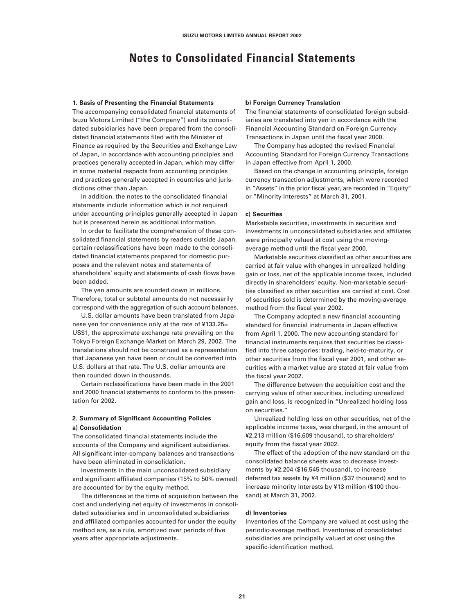### **Notes to Consolidated Financial Statements**

#### **1. Basis of Presenting the Financial Statements**

The accompanying consolidated financial statements of Isuzu Motors Limited ("the Company") and its consolidated subsidiaries have been prepared from the consolidated financial statements filed with the Minister of Finance as required by the Securities and Exchange Law of Japan, in accordance with accounting principles and practices generally accepted in Japan, which may differ in some material respects from accounting principles and practices generally accepted in countries and jurisdictions other than Japan.

In addition, the notes to the consolidated financial statements include information which is not required under accounting principles generally accepted in Japan but is presented herein as additional information.

In order to facilitate the comprehension of these consolidated financial statements by readers outside Japan, certain reclassifications have been made to the consolidated financial statements prepared for domestic purposes and the relevant notes and statements of shareholders' equity and statements of cash flows have been added.

The yen amounts are rounded down in millions. Therefore, total or subtotal amounts do not necessarily correspond with the aggregation of such account balances.

U.S. dollar amounts have been translated from Japanese yen for convenience only at the rate of ¥133.25= US\$1, the approximate exchange rate prevailing on the Tokyo Foreign Exchange Market on March 29, 2002. The translations should not be construed as a representation that Japanese yen have been or could be converted into U.S. dollars at that rate. The U.S. dollar amounts are then rounded down in thousands.

Certain reclassifications have been made in the 2001 and 2000 financial statements to conform to the presentation for 2002.

#### **2. Summary of Significant Accounting Policies a) Consolidation**

The consolidated financial statements include the accounts of the Company and significant subsidiaries. All significant inter-company balances and transactions have been eliminated in consolidation.

Investments in the main unconsolidated subsidiary and significant affiliated companies (15% to 50% owned) are accounted for by the equity method.

The differences at the time of acquisition between the cost and underlying net equity of investments in consolidated subsidiaries and in unconsolidated subsidiaries and affiliated companies accounted for under the equity method are, as a rule, amortized over periods of five years after appropriate adjustments.

#### **b) Foreign Currency Translation**

The financial statements of consolidated foreign subsidiaries are translated into yen in accordance with the Financial Accounting Standard on Foreign Currency Transactions in Japan until the fiscal year 2000.

The Company has adopted the revised Financial Accounting Standard for Foreign Currency Transactions in Japan effective from April 1, 2000.

Based on the change in accounting principle, foreign currency transaction adjustments, which were recorded in "Assets" in the prior fiscal year, are recorded in "Equity" or "Minority Interests" at March 31, 2001.

#### **c) Securities**

Marketable securities, investments in securities and investments in unconsolidated subsidiaries and affiliates were principally valued at cost using the movingaverage method until the fiscal year 2000.

Marketable securities classified as other securities are carried at fair value with changes in unrealized holding gain or loss, net of the applicable income taxes, included directly in shareholders' equity. Non-marketable securities classified as other securities are carried at cost. Cost of securities sold is determined by the moving-average method from the fiscal year 2002.

The Company adopted a new financial accounting standard for financial instruments in Japan effective from April 1, 2000. The new accounting standard for financial instruments requires that securities be classified into three categories: trading, held-to-maturity, or other securities from the fiscal year 2001, and other securities with a market value are stated at fair value from the fiscal year 2002.

The difference between the acquisition cost and the carrying value of other securities, including unrealized gain and loss, is recognized in "Unrealized holding loss on securities."

Unrealized holding loss on other securities, net of the applicable income taxes, was charged, in the amount of ¥2,213 million (\$16,609 thousand), to shareholders' equity from the fiscal year 2002.

The effect of the adoption of the new standard on the consolidated balance sheets was to decrease investments by ¥2,204 (\$16,545 thousand), to increase deferred tax assets by ¥4 million (\$37 thousand) and to increase minority interests by ¥13 million (\$100 thousand) at March 31, 2002.

#### **d) Inventories**

Inventories of the Company are valued at cost using the periodic-average method. Inventories of consolidated subsidiaries are principally valued at cost using the specific-identification method.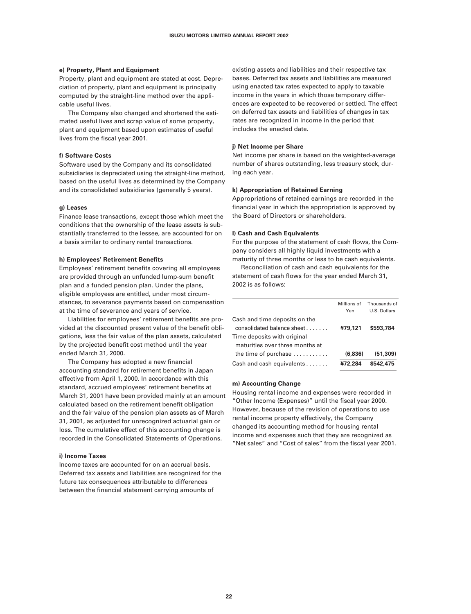#### **e) Property, Plant and Equipment**

Property, plant and equipment are stated at cost. Depreciation of property, plant and equipment is principally computed by the straight-line method over the applicable useful lives.

The Company also changed and shortened the estimated useful lives and scrap value of some property, plant and equipment based upon estimates of useful lives from the fiscal year 2001.

#### **f) Software Costs**

Software used by the Company and its consolidated subsidiaries is depreciated using the straight-line method, based on the useful lives as determined by the Company and its consolidated subsidiaries (generally 5 years).

#### **g) Leases**

Finance lease transactions, except those which meet the conditions that the ownership of the lease assets is substantially transferred to the lessee, are accounted for on a basis similar to ordinary rental transactions.

#### **h) Employees' Retirement Benefits**

Employees' retirement benefits covering all employees are provided through an unfunded lump-sum benefit plan and a funded pension plan. Under the plans, eligible employees are entitled, under most circumstances, to severance payments based on compensation at the time of severance and years of service.

Liabilities for employees' retirement benefits are provided at the discounted present value of the benefit obligations, less the fair value of the plan assets, calculated by the projected benefit cost method until the year ended March 31, 2000.

The Company has adopted a new financial accounting standard for retirement benefits in Japan effective from April 1, 2000. In accordance with this standard, accrued employees' retirement benefits at March 31, 2001 have been provided mainly at an amount calculated based on the retirement benefit obligation and the fair value of the pension plan assets as of March 31, 2001, as adjusted for unrecognized actuarial gain or loss. The cumulative effect of this accounting change is recorded in the Consolidated Statements of Operations.

#### **i) Income Taxes**

Income taxes are accounted for on an accrual basis. Deferred tax assets and liabilities are recognized for the future tax consequences attributable to differences between the financial statement carrying amounts of

existing assets and liabilities and their respective tax bases. Deferred tax assets and liabilities are measured using enacted tax rates expected to apply to taxable income in the years in which those temporary differences are expected to be recovered or settled. The effect on deferred tax assets and liabilities of changes in tax rates are recognized in income in the period that includes the enacted date.

#### **j) Net Income per Share**

Net income per share is based on the weighted-average number of shares outstanding, less treasury stock, during each year.

#### **k) Appropriation of Retained Earning**

Appropriations of retained earnings are recorded in the financial year in which the appropriation is approved by the Board of Directors or shareholders.

#### **l) Cash and Cash Equivalents**

For the purpose of the statement of cash flows, the Company considers all highly liquid investments with a maturity of three months or less to be cash equivalents.

Reconciliation of cash and cash equivalents for the statement of cash flows for the year ended March 31, 2002 is as follows:

|                                                                | Millions of<br>Yen | Thousands of<br>U.S. Dollars |
|----------------------------------------------------------------|--------------------|------------------------------|
| Cash and time deposits on the<br>consolidated balance sheet    | ¥79,121            | \$593,784                    |
| Time deposits with original<br>maturities over three months at |                    |                              |
| the time of purchase $\ldots \ldots \ldots$                    | (6.836)            | (51, 309)                    |
| Cash and cash equivalents                                      | ¥72,284            | \$542,475                    |

#### **m) Accounting Change**

Housing rental income and expenses were recorded in "Other Income (Expenses)" until the fiscal year 2000. However, because of the revision of operations to use rental income property effectively, the Company changed its accounting method for housing rental income and expenses such that they are recognized as "Net sales" and "Cost of sales" from the fiscal year 2001.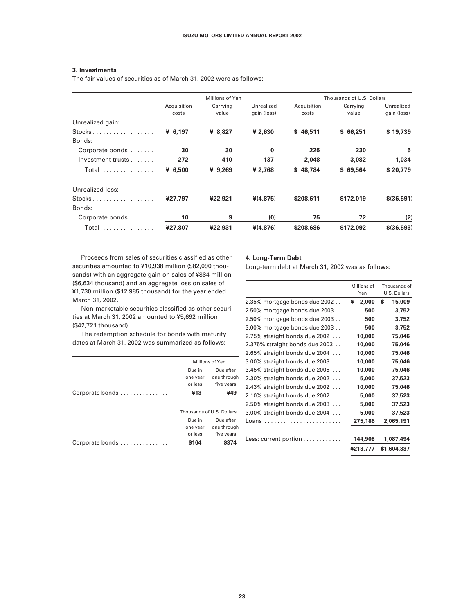#### **3. Investments**

The fair values of securities as of March 31, 2002 were as follows:

|                                                    | Millions of Yen      |                   |                           | Thousands of U.S. Dollars |                   |                           |
|----------------------------------------------------|----------------------|-------------------|---------------------------|---------------------------|-------------------|---------------------------|
|                                                    | Acquisition<br>costs | Carrying<br>value | Unrealized<br>gain (loss) | Acquisition<br>costs      | Carrying<br>value | Unrealized<br>gain (loss) |
| Unrealized gain:                                   |                      |                   |                           |                           |                   |                           |
| $Stocks$                                           | ¥ $6,197$            | ¥ 8,827           | ¥ 2,630                   | \$46,511                  | \$66,251          | \$19,739                  |
| Bonds:                                             |                      |                   |                           |                           |                   |                           |
| Corporate bonds                                    | 30                   | 30                | $\bf{0}$                  | 225                       | 230               | 5                         |
| Investment trusts                                  | 272                  | 410               | 137                       | 2.048                     | 3.082             | 1,034                     |
| Total                                              | ¥ $6,500$            | ¥ 9,269           | ¥ 2,768                   | \$48,784                  | \$69,564          | \$20,779                  |
| Unrealized loss:                                   |                      |                   |                           |                           |                   |                           |
| $Stocks \ldots \ldots \ldots \ldots \ldots \ldots$ | ¥27.797              | ¥22,921           | $*(4, 875)$               | \$208,611                 | \$172,019         | \$(36,591)                |
| Bonds:                                             |                      |                   |                           |                           |                   |                           |
| Corporate bonds                                    | 10                   | 9                 | (0)                       | 75                        | 72                | (2)                       |
| Total                                              | ¥27.807              | ¥22,931           | $*(4.876)$                | \$208,686                 | \$172,092         | \$(36,593)                |

Proceeds from sales of securities classified as other securities amounted to ¥10,938 million (\$82,090 thousands) with an aggregate gain on sales of ¥884 million (\$6,634 thousand) and an aggregate loss on sales of ¥1,730 million (\$12,985 thousand) for the year ended March 31, 2002.

Non-marketable securities classified as other securities at March 31, 2002 amounted to ¥5,692 million (\$42,721 thousand).

The redemption schedule for bonds with maturity dates at March 31, 2002 was summarized as follows:

|                 | Millions of Yen         |                           |  |
|-----------------|-------------------------|---------------------------|--|
|                 | Due in                  | Due after                 |  |
|                 | one through<br>one year |                           |  |
|                 | or less                 | five years                |  |
| Corporate bonds | ¥13                     | ¥49                       |  |
|                 |                         |                           |  |
|                 |                         | Thousands of U.S. Dollars |  |
|                 | Due in                  | Due after                 |  |
|                 | one year                | one through               |  |
|                 | or less                 | five years                |  |
| Corporate bonds | \$104                   |                           |  |

#### **4. Long-Term Debt**

Long-term debt at March 31, 2002 was as follows:

|                                    | Millions of<br>Yen | Thousands of<br>U.S. Dollars |  |
|------------------------------------|--------------------|------------------------------|--|
| 2.35% mortgage bonds due 2002      | 2,000<br>¥         | S<br>15,009                  |  |
| 2.50% mortgage bonds due 2003      | 500                | 3,752                        |  |
| 2.50% mortgage bonds due 2003      | 500                | 3,752                        |  |
| 3.00% mortgage bonds due 2003      | 500                | 3,752                        |  |
| $2.75\%$ straight bonds due 2002   | 10,000             | 75,046                       |  |
| 2.375% straight bonds due 2003     | 10,000             | 75,046                       |  |
| $2.65\%$ straight bonds due 2004   | 10,000             | 75,046                       |  |
| $3.00\%$ straight bonds due 2003   | 10,000             | 75,046                       |  |
| $3.45\%$ straight bonds due 2005   | 10,000             | 75,046                       |  |
| $2.30\%$ straight bonds due $2002$ | 5,000              | 37,523                       |  |
| $2.43\%$ straight bonds due 2002   | 10,000             | 75,046                       |  |
| $2.10\%$ straight bonds due 2002   | 5,000              | 37,523                       |  |
| $2.50\%$ straight bonds due 2003   | 5,000              | 37,523                       |  |
| 3.00% straight bonds due 2004      | 5,000              | 37,523                       |  |
|                                    | 275,186            | 2,065,191                    |  |
| Less: current portion              | 144,908            | 1.087.494                    |  |
|                                    | ¥213,777           | \$1,604,337                  |  |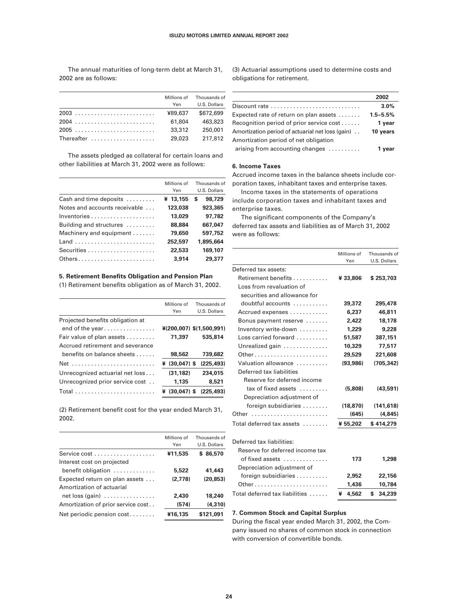The annual maturities of long-term debt at March 31, 2002 are as follows:

Millions of Thousands of Yen U.S. Dollars 2003 . . . . . . . . . . . . . . . . . . . . . . . . . ¥89,637 \$672,699 2004 . . . . . . . . . . . . . . . . . . . . . . . . . 61,804 463,823 2005 . . . . . . . . . . . . . . . . . . . . . . . . . 33,312 250,001 Thereafter . . . . . . . . . . . . . . . . . . . . 29,023 217,812

The assets pledged as collateral for certain loans and other liabilities at March 31, 2002 were as follows:

|                               | Millions of<br>Yen | Thousands of<br>U.S. Dollars |
|-------------------------------|--------------------|------------------------------|
| Cash and time deposits        | ¥ 13,155           | 98,729<br>S                  |
| Notes and accounts receivable | 123,038            | 923,365                      |
|                               | 13,029             | 97.782                       |
| Building and structures       | 88,884             | 667.047                      |
| Machinery and equipment       | 79,650             | 597.752                      |
| Land                          | 252,597            | 1,895,664                    |
|                               | 22,533             | 169,107                      |
| Others                        | 3.914              | 29,377                       |

#### **5. Retirement Benefits Obligation and Pension Plan**

(1) Retirement benefits obligation as of March 31, 2002.

|                                  | Millions of     | Thousands of             |
|----------------------------------|-----------------|--------------------------|
|                                  | Yen             | U.S. Dollars             |
| Projected benefits obligation at |                 |                          |
| end of the year                  |                 | ¥(200,007) \$(1,500,991) |
| Fair value of plan assets        | 71,397          | 535,814                  |
| Accrued retirement and severance |                 |                          |
| benefits on balance sheets       | 98,562          | 739,682                  |
| Net                              | $¥ (30,047)$ \$ | (225, 493)               |
| Unrecognized actuarial net loss  | (31.182)        | 234,015                  |
| Unrecognized prior service cost  | 1,135           | 8,521                    |
|                                  | $¥ (30.047)$ \$ | (225.493)                |
|                                  |                 |                          |

(2) Retirement benefit cost for the year ended March 31, 2002.

|                                               | Millions of<br>Yen | Thousands of<br>U.S. Dollars |
|-----------------------------------------------|--------------------|------------------------------|
|                                               | ¥11,535            | \$86,570                     |
| Interest cost on projected                    |                    |                              |
| benefit obligation $\dots\dots\dots\dots$     | 5,522              | 41,443                       |
| Expected return on plan assets                | (2.778)            | (20.853)                     |
| Amortization of actuarial                     |                    |                              |
| net loss (gain) $\ldots \ldots \ldots \ldots$ | 2,430              | 18,240                       |
| Amortization of prior service cost            | (574)              | (4, 310)                     |
| Net periodic pension cost                     | ¥16,135            | \$121,091                    |
|                                               |                    |                              |

(3) Actuarial assumptions used to determine costs and obligations for retirement.

| 2002         |
|--------------|
| 3.0%         |
| $1.5 - 5.5%$ |
| 1 year       |
| 10 years     |
|              |
| 1 vear       |
|              |

#### **6. Income Taxes**

Accrued income taxes in the balance sheets include corporation taxes, inhabitant taxes and enterprise taxes.

Income taxes in the statements of operations include corporation taxes and inhabitant taxes and enterprise taxes.

The significant components of the Company's deferred tax assets and liabilities as of March 31, 2002 were as follows:

|                                         | Millions of<br>Yen | Thousands of<br>U.S. Dollars |
|-----------------------------------------|--------------------|------------------------------|
| Deferred tax assets:                    |                    |                              |
| Retirement benefits                     | ¥33,806            | \$253,703                    |
| Loss from revaluation of                |                    |                              |
| securities and allowance for            |                    |                              |
| doubtful accounts                       | 39,372             | 295,478                      |
| Accrued expenses                        | 6,237              | 46,811                       |
| Bonus payment reserve                   | 2.422              | 18,178                       |
| Inventory write-down                    | 1,229              | 9,228                        |
| Loss carried forward                    | 51,587             | 387,151                      |
| Unrealized gain                         | 10,329             | 77,517                       |
| Other                                   | 29,529             | 221,608                      |
| Valuation allowance                     | (93, 986)          | (705, 342)                   |
| Deferred tax liabilities                |                    |                              |
| Reserve for deferred income             |                    |                              |
| $tax$ of fixed assets $\dots\dots\dots$ | (5,808)            | (43, 591)                    |
| Depreciation adjustment of              |                    |                              |
| foreign subsidiaries                    | (18, 870)          | (141, 618)                   |
| Other                                   | (645)              | (4, 845)                     |
| Total deferred tax assets               | ¥ 55,202           | \$414,279                    |
| Deferred tax liabilities:               |                    |                              |
| Reserve for deferred income tax         |                    |                              |
| of fixed assets                         | 173                | 1,298                        |
| Depreciation adjustment of              |                    |                              |
| foreign subsidiaries                    | 2,952              | 22,156                       |
| Other                                   | 1,436              | 10,784                       |
| Total deferred tax liabilities          | 4,562<br>¥         | 34,239<br>\$                 |

#### **7. Common Stock and Capital Surplus**

During the fiscal year ended March 31, 2002, the Company issued no shares of common stock in connection with conversion of convertible bonds.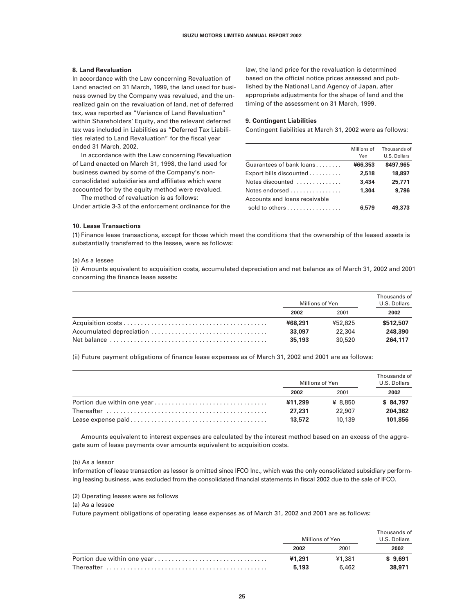#### **8. Land Revaluation**

In accordance with the Law concerning Revaluation of Land enacted on 31 March, 1999, the land used for business owned by the Company was revalued, and the unrealized gain on the revaluation of land, net of deferred tax, was reported as "Variance of Land Revaluation" within Shareholders' Equity, and the relevant deferred tax was included in Liabilities as "Deferred Tax Liabilities related to Land Revaluation" for the fiscal year ended 31 March, 2002.

In accordance with the Law concerning Revaluation of Land enacted on March 31, 1998, the land used for business owned by some of the Company's nonconsolidated subsidiaries and affiliates which were accounted for by the equity method were revalued.

The method of revaluation is as follows: Under article 3-3 of the enforcement ordinance for the law, the land price for the revaluation is determined based on the official notice prices assessed and published by the National Land Agency of Japan, after appropriate adjustments for the shape of land and the timing of the assessment on 31 March, 1999.

#### **9. Contingent Liabilities**

Contingent liabilities at March 31, 2002 were as follows:

|                                                | Millions of<br>Yen | Thousands of<br>U.S. Dollars |
|------------------------------------------------|--------------------|------------------------------|
| Guarantees of bank loans                       | ¥66,353            | \$497,965                    |
| Export bills discounted $\ldots \ldots \ldots$ | 2,518              | 18,897                       |
| Notes discounted                               | 3,434              | 25,771                       |
| Notes endorsed                                 | 1.304              | 9,786                        |
| Accounts and loans receivable                  |                    |                              |
| sold to others                                 | 6,579              | 49,373                       |

#### **10. Lease Transactions**

(1) Finance lease transactions, except for those which meet the conditions that the ownership of the leased assets is substantially transferred to the lessee, were as follows:

#### (a) As a lessee

(i) Amounts equivalent to acquisition costs, accumulated depreciation and net balance as of March 31, 2002 and 2001 concerning the finance lease assets:

| Millions of Yen |         | Thousands of<br>U.S. Dollars |
|-----------------|---------|------------------------------|
| 2002            | 2001    | 2002                         |
| ¥68.291         | ¥52,825 | \$512,507                    |
| 33,097          | 22.304  | 248,390                      |
| 35.193          | 30.520  | 264.117                      |

(ii) Future payment obligations of finance lease expenses as of March 31, 2002 and 2001 are as follows:

| Millions of Yen |         | Thousands of<br>U.S. Dollars |  |
|-----------------|---------|------------------------------|--|
| 2002            | 2001    | 2002                         |  |
| ¥11,299         | ¥ 8.850 | \$84,797                     |  |
| 27.231          | 22.907  | 204,362                      |  |
| 13,572          | 10.139  | 101,856                      |  |

Amounts equivalent to interest expenses are calculated by the interest method based on an excess of the aggregate sum of lease payments over amounts equivalent to acquisition costs.

(b) As a lessor

Information of lease transaction as lessor is omitted since IFCO Inc., which was the only consolidated subsidiary performing leasing business, was excluded from the consolidated financial statements in fiscal 2002 due to the sale of IFCO.

(2) Operating leases were as follows

(a) As a lessee

Future payment obligations of operating lease expenses as of March 31, 2002 and 2001 are as follows:

| Millions of Yen |        | Thousands of<br>U.S. Dollars |  |
|-----------------|--------|------------------------------|--|
| 2002            | 2001   | 2002                         |  |
| ¥1,291          | ¥1.381 | \$9.691                      |  |
| 5.193           | 6.462  | 38,971                       |  |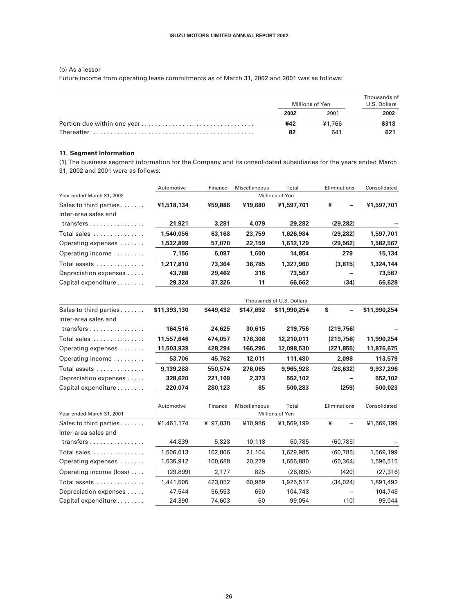(b) As a lessor

Future income from operating lease commitments as of March 31, 2002 and 2001 was as follows:

| Millions of Yen |               | Thousands of<br>U.S. Dollars |  |
|-----------------|---------------|------------------------------|--|
| 2002            | 2001          | 2002                         |  |
| ¥42<br>82       | ¥1.766<br>641 | \$318<br>621                 |  |

#### **11. Segment Information**

(1) The business segment information for the Company and its consolidated subsidiaries for the years ended March 31, 2002 and 2001 were as follows:

|                                         | Automotive | Finance | Miscellaneous | Total           | Eliminations | Consolidated |
|-----------------------------------------|------------|---------|---------------|-----------------|--------------|--------------|
| Year ended March 31, 2002               |            |         |               | Millions of Yen |              |              |
| Sales to third parties                  | ¥1,518,134 | ¥59,886 | ¥19,680       | ¥1,597,701      | ¥<br>-       | ¥1,597,701   |
| Inter-area sales and                    |            |         |               |                 |              |              |
| transfers $\ldots \ldots \ldots \ldots$ | 21,921     | 3,281   | 4,079         | 29,282          | (29.282)     |              |
| Total sales                             | 1,540,056  | 63,168  | 23,759        | 1,626,984       | (29, 282)    | 1,597,701    |
| Operating expenses                      | 1,532,899  | 57,070  | 22,159        | 1,612,129       | (29, 562)    | 1,582,567    |
| Operating income                        | 7,156      | 6,097   | 1,600         | 14,854          | 279          | 15,134       |
| Total assets                            | 1,217,810  | 73,364  | 36,785        | 1,327,960       | (3.815)      | 1,324,144    |
| Depreciation expenses                   | 43,788     | 29,462  | 316           | 73,567          |              | 73,567       |
| Capital expenditure                     | 29,324     | 37,326  | 11            | 66,662          | (34)         | 66,628       |

|                                         |              |           |               | Thousands of U.S. Dollars |              |              |
|-----------------------------------------|--------------|-----------|---------------|---------------------------|--------------|--------------|
| Sales to third parties                  | \$11,393,130 | \$449,432 | \$147,692     | \$11,990,254              | S<br>-       | \$11,990,254 |
| Inter-area sales and                    |              |           |               |                           |              |              |
| transfers $\ldots \ldots \ldots \ldots$ | 164,516      | 24,625    | 30,615        | 219,756                   | (219, 756)   |              |
| Total sales                             | 11.557.646   | 474.057   | 178,308       | 12,210,011                | (219.756)    | 11,990,254   |
| Operating expenses                      | 11,503,939   | 428,294   | 166,296       | 12,098,530                | (221, 855)   | 11,876,675   |
| Operating income                        | 53,706       | 45.762    | 12,011        | 111,480                   | 2.098        | 113,579      |
| Total assets                            | 9.139.288    | 550,574   | 276.065       | 9,965,928                 | (28, 632)    | 9,937,296    |
| Depreciation expenses                   | 328,620      | 221.109   | 2,373         | 552,102                   |              | 552,102      |
| Capital expenditure                     | 220,074      | 280,123   | 85            | 500,283                   | (259)        | 500,023      |
|                                         | Automotive   | Finance   | Miscellaneous | Total                     | Eliminations | Consolidated |
|                                         |              |           |               | $\cdots$                  |              |              |

| Year ended March 31, 2001               |            |          |         | Millions of Yen |           |            |
|-----------------------------------------|------------|----------|---------|-----------------|-----------|------------|
| Sales to third parties                  | ¥1,461,174 | ¥ 97.038 | ¥10,986 | ¥1,569,199      | ¥<br>-    | ¥1,569,199 |
| Inter-area sales and                    |            |          |         |                 |           |            |
| transfers $\ldots \ldots \ldots \ldots$ | 44,839     | 5,828    | 10,118  | 60,785          | (60, 785) |            |
| Total sales                             | 1,506,013  | 102,866  | 21,104  | 1,629,985       | (60.785)  | 1,569,199  |
| Operating expenses                      | 1,535,912  | 100,688  | 20,279  | 1,656,880       | (60, 364) | 1,596,515  |
| Operating income (loss)                 | (29, 899)  | 2,177    | 825     | (26, 895)       | (420)     | (27, 316)  |
| Total assets                            | 1,441,505  | 423,052  | 60,959  | 1,925,517       | (34.024)  | 1,891,492  |
| Depreciation expenses                   | 47,544     | 56,553   | 650     | 104,748         |           | 104,748    |
| Capital expenditure                     | 24,390     | 74,603   | 60      | 99,054          | (10)      | 99,044     |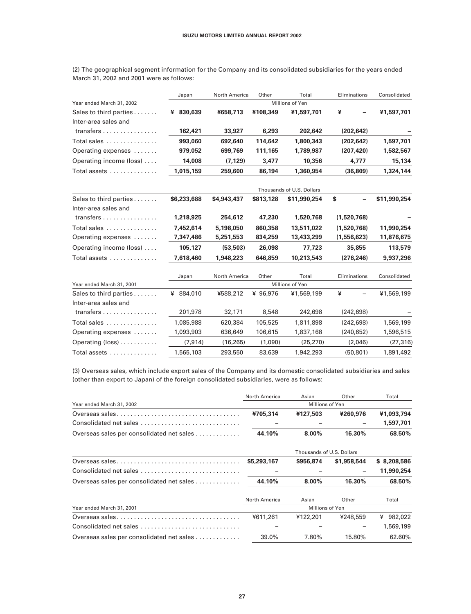| Year ended March 31, 2002               |              |               |           | Millions of Yen           |              |              |
|-----------------------------------------|--------------|---------------|-----------|---------------------------|--------------|--------------|
| Sales to third parties                  | ¥ 830,639    | ¥658,713      | ¥108,349  | ¥1,597,701                | ¥            | ¥1,597,701   |
| Inter-area sales and                    |              |               |           |                           |              |              |
| transfers                               | 162,421      | 33,927        | 6,293     | 202,642                   | (202, 642)   |              |
| Total sales                             | 993.060      | 692,640       | 114.642   | 1.800.343                 | (202.642)    | 1,597,701    |
| Operating expenses                      | 979,052      | 699,769       | 111,165   | 1,789,987                 | (207, 420)   | 1,582,567    |
| Operating income (loss)                 | 14,008       | (7, 129)      | 3,477     | 10,356                    | 4,777        | 15,134       |
| Total assets                            | 1,015,159    | 259,600       | 86,194    | 1,360,954                 | (36, 809)    | 1,324,144    |
|                                         |              |               |           | Thousands of U.S. Dollars |              |              |
| Sales to third parties                  | \$6,233,688  | \$4,943,437   | \$813,128 | \$11,990,254              | \$           | \$11,990,254 |
| Inter-area sales and                    |              |               |           |                           |              |              |
| transfers                               | 1,218,925    | 254,612       | 47,230    | 1,520,768                 | (1,520,768)  |              |
| Total sales                             | 7,452,614    | 5,198,050     | 860,358   | 13.511.022                | (1,520,768)  | 11,990,254   |
| Operating expenses                      | 7,347,486    | 5,251,553     | 834,259   | 13,433,299                | (1,556,623)  | 11,876,675   |
| Operating income (loss)                 | 105,127      | (53, 503)     | 26,098    | 77,723                    | 35,855       | 113,579      |
| Total assets                            | 7,618,460    | 1,948,223     | 646.859   | 10,213,543                | (276, 246)   | 9,937,296    |
|                                         | Japan        | North America | Other     | Total                     | Eliminations | Consolidated |
| Year ended March 31, 2001               |              |               |           | Millions of Yen           |              |              |
| Sales to third parties                  | 884,010<br>¥ | ¥588,212      | ¥ 96,976  | ¥1,569,199                | ¥            | ¥1,569,199   |
| Inter-area sales and                    |              |               |           |                           |              |              |
| transfers $\ldots \ldots \ldots \ldots$ | 201,978      | 32,171        | 8,548     | 242,698                   | (242, 698)   |              |
| Total sales                             | 1,085,988    | 620,384       | 105,525   | 1,811,898                 | (242, 698)   | 1,569,199    |
| Operating expenses                      | 1,093,903    | 636,649       | 106,615   | 1,837,168                 | (240, 652)   | 1,596,515    |
| Operating (loss)                        | (7, 914)     | (16, 265)     | (1,090)   | (25, 270)                 | (2,046)      | (27, 316)    |
| Total assets                            | 1,565,103    | 293,550       | 83,639    | 1,942,293                 | (50, 801)    | 1,891,492    |

(2) The geographical segment information for the Company and its consolidated subsidiaries for the years ended March 31, 2002 and 2001 were as follows:

Japan North America Other Total Eliminations Consolidated

(3) Overseas sales, which include export sales of the Company and its domestic consolidated subsidiaries and sales (other than export to Japan) of the foreign consolidated subsidiaries, were as follows:

|                                           | North America   | Asian                     | Other       | Total        |  |
|-------------------------------------------|-----------------|---------------------------|-------------|--------------|--|
| Year ended March 31, 2002                 | Millions of Yen |                           |             |              |  |
|                                           | ¥705,314        | ¥127,503                  | ¥260,976    | ¥1,093,794   |  |
| Consolidated net sales                    |                 |                           |             | 1,597,701    |  |
| Overseas sales per consolidated net sales | 44.10%          | $8.00\%$                  | 16.30%      | 68.50%       |  |
|                                           |                 | Thousands of U.S. Dollars |             |              |  |
|                                           | \$5,293,167     | \$956,874                 | \$1,958,544 | \$8,208,586  |  |
| Consolidated net sales                    |                 |                           |             | 11,990,254   |  |
| Overseas sales per consolidated net sales | 44.10%          | $8.00\%$                  | 16.30%      | 68.50%       |  |
|                                           | North America   | Asian                     | Other       | Total        |  |
| Year ended March 31, 2001                 |                 | Millions of Yen           |             |              |  |
|                                           | ¥611,261        | ¥122,201                  | ¥248,559    | 982,022<br>¥ |  |
| Consolidated net sales                    |                 |                           |             | 1,569,199    |  |
| Overseas sales per consolidated net sales | 39.0%           | 7.80%                     | 15.80%      | 62.60%       |  |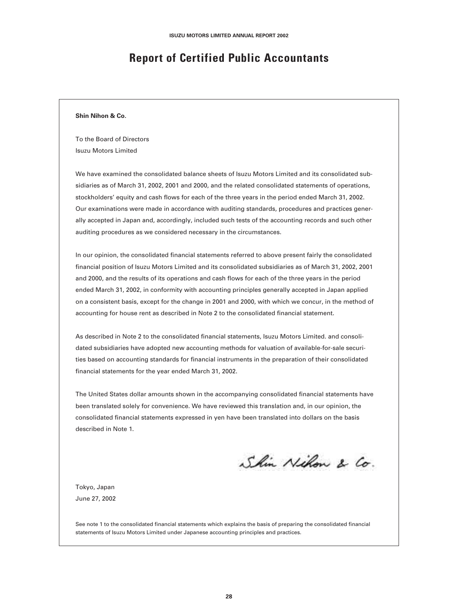### **Report of Certified Public Accountants**

#### **Shin Nihon & Co.**

To the Board of Directors Isuzu Motors Limited

We have examined the consolidated balance sheets of Isuzu Motors Limited and its consolidated subsidiaries as of March 31, 2002, 2001 and 2000, and the related consolidated statements of operations, stockholders' equity and cash flows for each of the three years in the period ended March 31, 2002. Our examinations were made in accordance with auditing standards, procedures and practices generally accepted in Japan and, accordingly, included such tests of the accounting records and such other auditing procedures as we considered necessary in the circumstances.

In our opinion, the consolidated financial statements referred to above present fairly the consolidated financial position of Isuzu Motors Limited and its consolidated subsidiaries as of March 31, 2002, 2001 and 2000, and the results of its operations and cash flows for each of the three years in the period ended March 31, 2002, in conformity with accounting principles generally accepted in Japan applied on a consistent basis, except for the change in 2001 and 2000, with which we concur, in the method of accounting for house rent as described in Note 2 to the consolidated financial statement.

As described in Note 2 to the consolidated financial statements, Isuzu Motors Limited. and consolidated subsidiaries have adopted new accounting methods for valuation of available-for-sale securities based on accounting standards for financial instruments in the preparation of their consolidated financial statements for the year ended March 31, 2002.

The United States dollar amounts shown in the accompanying consolidated financial statements have been translated solely for convenience. We have reviewed this translation and, in our opinion, the consolidated financial statements expressed in yen have been translated into dollars on the basis described in Note 1.

Shin Nihon & Co.

Tokyo, Japan June 27, 2002

See note 1 to the consolidated financial statements which explains the basis of preparing the consolidated financial statements of Isuzu Motors Limited under Japanese accounting principles and practices.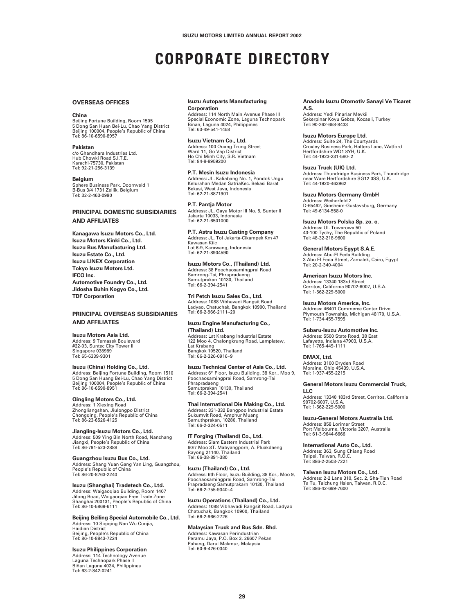## **CORPORATE DIRECTORY**

#### **OVERSEAS OFFICES**

#### **China**

Beijing Fortune Building, Room 1505 5 Dong San Huan Bei-Lu, Chao Yang District Beijing 100004, People's Republic of China Tel: 86-10-6590-8957

#### **Pakistan**

c/o Ghandhara Industries Ltd. Hub Chowki Road S.I.T.E. Karachi-75730, Pakistan Tel: 92-21-256-3139

#### **Belgium**

Sphere Business Park, Doornveld 1 B-Bus 3/4 1731 Zellik, Belgium Tel: 32-2-463-0990

#### **PRINCIPAL DOMESTIC SUBSIDIARIES AND AFFILIATES**

**Kanagawa Isuzu Motors Co., Ltd. Isuzu Motors Kinki Co., Ltd. Isuzu Bus Manufacturing Ltd. Isuzu Estate Co., Ltd. Isuzu LINEX Corporation Tokyo Isuzu Motors Ltd. IFCO Inc. Automotive Foundry Co., Ltd. Jidosha Buhin Kogyo Co., Ltd. TDF Corporation**

#### **PRINCIPAL OVERSEAS SUBSIDIARIES AND AFFILIATES**

#### **Isuzu Motors Asia Ltd.**

Address: 9 Temasek Boulevard #22-03, Suntec City Tower II Singapore 038989 Tel: 65-6339-9301

**Isuzu (China) Holding Co., Ltd.** Address: Beijing Fortune Building, Room 1510 5 Dong San Huang Bei-Lu, Chao Yang District Beijing 100004, People's Republic of China Tel: 86-10-6590-8951

#### **Qingling Motors Co., Ltd.** Address: 1 Xiexing Road Zhongliangshan, Jiulongpo District Chongqing, People's Republic of China Tel: 86-23-6526-4125

**Jiangling-Isuzu Motors Co., Ltd.** Address: 509 Ying Bin North Road, Nanchang Jiangxi, People's Republic of China Tel: 86-791-523-2888

**Guangzhou Isuzu Bus Co., Ltd.** Address: Shang Yuan Gang Yan Ling, Guangzhou, People's Republic of China Tel: 86-20-8763-2240

**Isuzu (Shanghai) Tradetech Co., Ltd.** Address: Waigaoqiao Building, Room 1407 Jilong Road, Waigaoqiao Free Trade Zone Shanghai 200131, People's Republic of China Tel: 86-10-5869-6111

#### **Beijing Beiling Special Automobile Co., Ltd.**

Address: 10 Siqiqing Nan Wu Cunjia, Haidian District Beijing, People's Republic of China Tel: 86-10-8843-7224

#### **Isuzu Philippines Corporation**

Address: 114 Technology Avenue Laguna Technopark Phase II Biñan Laguna 4024, Philippines Tel: 63-2-842-0241

#### **Isuzu Autoparts Manufacturing Corporation**

Address: 114 North Main Avenue Phase III Special Economic Zone, Laguna Technopark Biñan, Laguna 4024, Philippines Tel: 63-49-541-1458

#### **Isuzu Vietnam Co., Ltd.**

Address: 100 Quang Trung Street Ward 11, Go Vap District Ho Chi Minh City, S.R. Vietnam Tel: 84-8-8959200

**P.T. Mesin Isuzu Indonesia** Address: JL. Kaliabang No. 1, Pondok Ungu Kelurahan Medan SatriaKec. Bekasi Barat Bekasi, West Java, Indonesia Tel: 62-21-8871901

**P.T. Pantja Motor** Address: JL. Gaya Motor III No. 5, Sunter II Jakarta 10033, Indonesia Tel: 62-21-6501000

**P.T. Astra Isuzu Casting Company** Address: JL. Tol Jakarta-Cikampek Km 47 Kawasan Kiic Lot 6-9, Karawang, Indonesia Tel: 62-21-8904590

**Isuzu Motors Co., (Thailand) Ltd.** Address: 38 Poochaosamingprai Road Samrong-Tai, Phrapradaeng Samutprakan 10130, Thailand Tel: 66-2-394-2541

**Tri Petch Isuzu Sales Co., Ltd.** Address: 1088 Vibhavadi Rangsit Road Ladyao, Chatuchak, Bangkok 10900, Thailand Tel: 66-2-966-2111~20

**Isuzu Engine Manufacturing Co., (Thailand) Ltd.**

Address: Lat Krabang Industrial Estate 122 Moo 4, Chalongkrung Road, Lamplatew, Lat Krabang Bangkok 10520, Thailand Tel: 66-2-326-0916~9

**Isuzu Technical Center of Asia Co., Ltd.** Address: 6th Floor, Isuzu Building, 38 Kor., Moo 9,<br>Poochaosamingprai Road, Samrong-Tai Phrapradaeng Samutprakan 10130, Thailand Tel: 66-2-394-2541

**Thai International Die Making Co., Ltd.** Address: 331-332 Bangpoo Industrial Estate Sukumvit Road, Amphur Muang Samuthprakan, 10280, Thailand Tel: 66-2-324-0511

**IT Forging (Thailand) Co., Ltd.** Address: Siam Eastern Industrial Park 60/7 Moo 3T. Mabyangporn, A. Pluakdaeng Rayong 21140, Thailand Tel: 66-38-891-380

**Isuzu (Thailand) Co., Ltd.** Address: 6th Floor, Isuzu Building, 38 Kor., Moo 9,<br>Poochaosamingprai Road, Samrong-Tai<br>Prapradaeng Samutprakarn 10130, Thailand<br>Tel: 66-2-755-9340~4

**Isuzu Operations (Thailand) Co., Ltd.** Address: 1088 Vibhavadi Rangsit Road, Ladyao Chatuchak, Bangkok 10900, Thailand Tel: 66-2-966-2726

#### **Malaysian Truck and Bus Sdn. Bhd.**

Address: Kawasan Perindustrian Peramu Jaya, P.O. Box 3, 26607 Pekan Pahang, Darul Makmur, Malaysia Tel: 60-9-426-0340

#### **Anadolu Isuzu Otomotiv Sanayi Ve Ticaret A.S.**

Address: Yedi Pinarlar Mevkii Sekerpinar Koyu Gebze, Kocaeli, Turkey Tel: 90-262-658-8433

#### **Isuzu Motors Europe Ltd.**

Address: Suite 24, The Courtyards Croxley Business Park, Hatters Lane, Watford Hertfordshire WD1 8YH, U.K. Tel: 44-1923-231-580~2

**Isuzu Truck (UK) Ltd.** Address: Thundridge Business Park, Thundridge near Ware Hertfordshire SG12 0SS, U.K. Tel: 44-1920-463962

**Isuzu Motors Germany GmbH** Address: Weiherfeld 2 D-65462, Ginsheim-Gustavsburg, Germany Tel: 49-6134-558-0

**Isuzu Motors Polska Sp. zo. o.** Address: Ul. Towarowa 50 43-100 Tychy, The Republic of Poland Tel: 48-32-218-9600

**General Motors Egypt S.A.E.** Address: Abu-El Feda Building 3 Abu El Feda Street, Zamalek, Cairo, Egypt Tel: 20-2-340-4004

**American Isuzu Motors Inc.** Address: 13340 183rd Street Cerritos, California 90702-6007, U.S.A. Tel: 1-562-229-5000

**Isuzu Motors America, Inc.** Address: 46401 Commerce Center Drive Plymouth Township, Michigan 48170, U.S.A. Tel: 1-734-455-7595

**Subaru-Isuzu Automotive Inc.** Address: 5500 State Road, 38 East Lafayette, Indiana 47903, U.S.A. Tel: 1-765-449-1111

#### **DMAX**, Ltd.

Address: 3100 Dryden Road Moraine, Ohio 45439, U.S.A. Tel: 1-937-455-2215

#### **General Motors Isuzu Commercial Truck, LLC**

Address: 13340 183rd Street, Cerritos, California 90702-6007, U.S.A. Tel: 1-562-229-5000

**Isuzu-General Motors Australia Ltd.**

Address: 858 Lorimer Street Port Melbourne, Victoria 3207, Australia Tel: 61-3-9644-6666

**International Auto Co., Ltd.** Address: 363, Sung Chiang Road Taipei, Taiwan, R.O.C. Tel: 886-2-2503-7221

**Taiwan Isuzu Motors Co., Ltd.** Address: 2-2 Lane 310, Sec. 2, Sha-Tien Road

Ta Tu, Taichung Hsien, Taiwan, R.O.C. Tel: 886-42-699-7600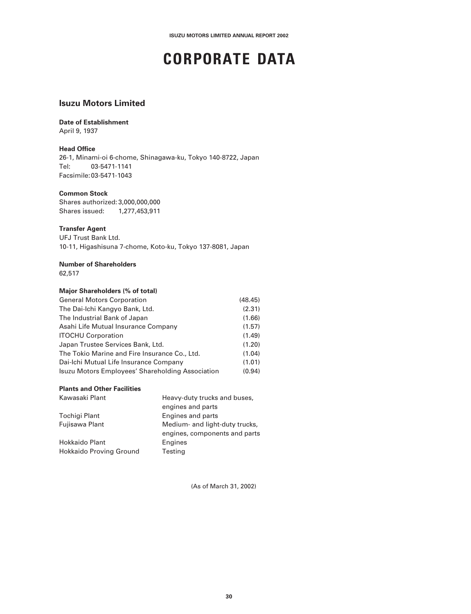## **CORPORATE DATA**

#### **Isuzu Motors Limited**

#### **Date of Establishment**

April 9, 1937

#### **Head Office**

26-1, Minami-oi 6-chome, Shinagawa-ku, Tokyo 140-8722, Japan Tel: 03-5471-1141 Facsimile:03-5471-1043

#### **Common Stock**

Shares authorized: 3,000,000,000 Shares issued: 1,277,453,911

#### **Transfer Agent**

UFJ Trust Bank Ltd. 10-11, Higashisuna 7-chome, Koto-ku, Tokyo 137-8081, Japan

#### **Number of Shareholders**

62,517

#### **Major Shareholders (% of total)**

| <b>General Motors Corporation</b>                | (48.45) |
|--------------------------------------------------|---------|
| The Dai-Ichi Kangyo Bank, Ltd.                   | (2.31)  |
| The Industrial Bank of Japan                     | (1.66)  |
| Asahi Life Mutual Insurance Company              | (1.57)  |
| <b>ITOCHU Corporation</b>                        | (1.49)  |
| Japan Trustee Services Bank, Ltd.                | (1.20)  |
| The Tokio Marine and Fire Insurance Co., Ltd.    | (1.04)  |
| Dai-Ichi Mutual Life Insurance Company           | (1.01)  |
| Isuzu Motors Employees' Shareholding Association | (0.94)  |

#### **Plants and Other Facilities**

| Kawasaki Plant          | Heavy-duty trucks and buses,   |
|-------------------------|--------------------------------|
|                         | engines and parts              |
| Tochigi Plant           | Engines and parts              |
| Fujisawa Plant          | Medium- and light-duty trucks, |
|                         | engines, components and parts  |
| <b>Hokkaido Plant</b>   | Engines                        |
| Hokkaido Proving Ground | Testing                        |

(As of March 31, 2002)